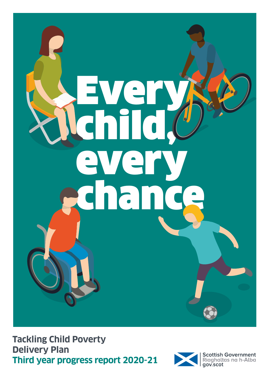

**Tackling Child Poverty Delivery Plan Third year progress report 2020-21**

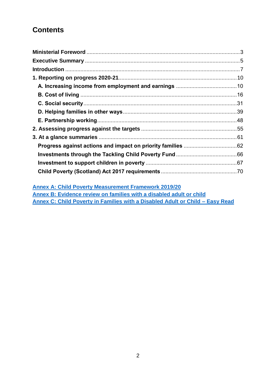## **Contents**

**[Annex A: Child Poverty Measurement Framework 2019/20](https://www.gov.scot/ISBN/978-1-80201-058-9) Annex B: [Evidence review on families with a disabled adult or child](http://www.gov.scot/ISBN/9781802011159) Annex C: [Child Poverty in Families with a Disabled Adult or Child –](http://www.gov.scot/ISBN/9781802011364) Easy Read**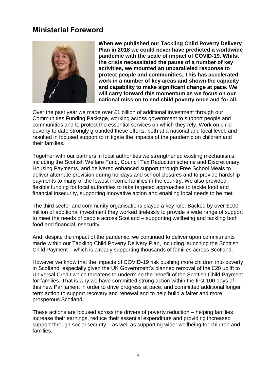## <span id="page-2-0"></span>**Ministerial Foreword**



**When we published our Tackling Child Poverty Delivery Plan in 2018 we could never have predicted a worldwide pandemic with the scale of impact of COVID-19. Whilst the crisis necessitated the pause of a number of key activities, we mounted an unparalleled response to protect people and communities. This has accelerated work in a number of key areas and shown the capacity and capability to make significant change at pace. We will carry forward this momentum as we focus on our national mission to end child poverty once and for all.**

Over the past year we made over £1 billion of additional investment through our Communities Funding Package, working across government to support people and communities and to protect the essential services on which they rely. Work on child poverty to date strongly grounded these efforts, both at a national and local level, and resulted in focused support to mitigate the impacts of the pandemic on children and their families.

Together with our partners in local authorities we strengthened existing mechanisms, including the Scottish Welfare Fund, Council Tax Reduction scheme and Discretionary Housing Payments, and delivered enhanced support through Free School Meals to deliver alternate provision during holidays and school closures and to provide hardship payments to many of the lowest income families in the country. We also provided flexible funding for local authorities to take targeted approaches to tackle food and financial insecurity, supporting innovative action and enabling local needs to be met.

The third sector and community organisations played a key role. Backed by over £100 million of additional investment they worked tirelessly to provide a wide range of support to meet the needs of people across Scotland – supporting wellbeing and tackling both food and financial insecurity.

And, despite the impact of the pandemic, we continued to deliver upon commitments made within our Tackling Child Poverty Delivery Plan, including launching the Scottish Child Payment – which is already supporting thousands of families across Scotland.

However we know that the impacts of COVID-19 risk pushing more children into poverty in Scotland, especially given the UK Government's planned removal of the £20 uplift to Universal Credit which threatens to undermine the benefit of the Scottish Child Payment for families. That is why we have committed strong action within the first 100 days of this new Parliament in order to drive progress at pace, and committed additional longer term action to support recovery and renewal and to help build a fairer and more prosperous Scotland.

These actions are focused across the drivers of poverty reduction – helping families increase their earnings, reduce their essential expenditure and providing increased support through social security – as well as supporting wider wellbeing for children and families.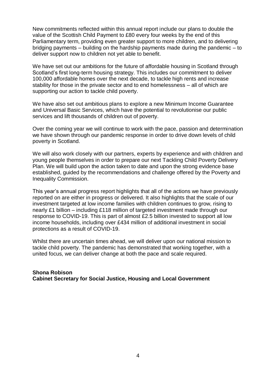New commitments reflected within this annual report include our plans to double the value of the Scottish Child Payment to £80 every four weeks by the end of this Parliamentary term, providing even greater support to more children, and to delivering bridging payments – building on the hardship payments made during the pandemic – to deliver support now to children not yet able to benefit.

We have set out our ambitions for the future of affordable housing in Scotland through Scotland's first long-term housing strategy. This includes our commitment to deliver 100,000 affordable homes over the next decade, to tackle high rents and increase stability for those in the private sector and to end homelessness – all of which are supporting our action to tackle child poverty.

We have also set out ambitious plans to explore a new Minimum Income Guarantee and Universal Basic Services, which have the potential to revolutionise our public services and lift thousands of children out of poverty.

Over the coming year we will continue to work with the pace, passion and determination we have shown through our pandemic response in order to drive down levels of child poverty in Scotland.

We will also work closely with our partners, experts by experience and with children and young people themselves in order to prepare our next Tackling Child Poverty Delivery Plan. We will build upon the action taken to date and upon the strong evidence base established, guided by the recommendations and challenge offered by the Poverty and Inequality Commission.

This year's annual progress report highlights that all of the actions we have previously reported on are either in progress or delivered. It also highlights that the scale of our investment targeted at low income families with children continues to grow, rising to nearly £1 billion – including £118 million of targeted investment made through our response to COVID-19. This is part of almost £2.5 billion invested to support all low income households, including over £434 million of additional investment in social protections as a result of COVID-19.

Whilst there are uncertain times ahead, we will deliver upon our national mission to tackle child poverty. The pandemic has demonstrated that working together, with a united focus, we can deliver change at both the pace and scale required.

#### **Shona Robison Cabinet Secretary for Social Justice, Housing and Local Government**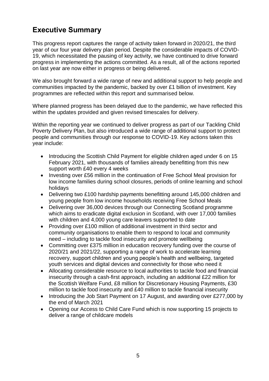## <span id="page-4-0"></span>**Executive Summary**

This progress report captures the range of activity taken forward in 2020/21, the third year of our four year delivery plan period. Despite the considerable impacts of COVID-19, which necessitated the pausing of key activity, we have continued to drive forward progress in implementing the actions committed. As a result, all of the actions reported on last year are now either in progress or being delivered.

We also brought forward a wide range of new and additional support to help people and communities impacted by the pandemic, backed by over £1 billion of investment. Key programmes are reflected within this report and summarised below.

Where planned progress has been delayed due to the pandemic, we have reflected this within the updates provided and given revised timescales for delivery.

Within the reporting year we continued to deliver progress as part of our Tackling Child Poverty Delivery Plan, but also introduced a wide range of additional support to protect people and communities through our response to COVID-19. Key actions taken this year include:

- Introducing the Scottish Child Payment for eligible children aged under 6 on 15 February 2021, with thousands of families already benefitting from this new support worth £40 every 4 weeks
- Investing over £56 million in the continuation of Free School Meal provision for low income families during school closures, periods of online learning and school holidays
- Delivering two £100 hardship payments benefitting around 145,000 children and young people from low income households receiving Free School Meals
- Delivering over 36,000 devices through our Connecting Scotland programme which aims to eradicate digital exclusion in Scotland, with over 17,000 families with children and 4,000 young care leavers supported to date
- Providing over £100 million of additional investment in third sector and community organisations to enable them to respond to local and community need – including to tackle food insecurity and promote wellbeing
- Committing over £375 million in education recovery funding over the course of 2020/21 and 2021/22, supporting a range of work to accelerate learning recovery, support children and young people's health and wellbeing, targeted youth services and digital devices and connectivity for those who need it
- Allocating considerable resource to local authorities to tackle food and financial insecurity through a cash-first approach, including an additional £22 million for the Scottish Welfare Fund, £8 million for Discretionary Housing Payments, £30 million to tackle food insecurity and £40 million to tackle financial insecurity
- Introducing the Job Start Payment on 17 August, and awarding over £277,000 by the end of March 2021
- Opening our Access to Child Care Fund which is now supporting 15 projects to deliver a range of childcare models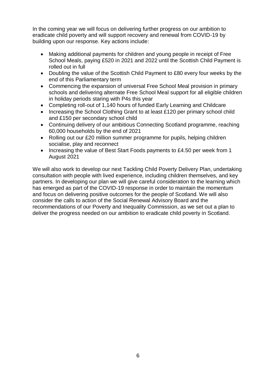In the coming year we will focus on delivering further progress on our ambition to eradicate child poverty and will support recovery and renewal from COVID-19 by building upon our response. Key actions include:

- Making additional payments for children and young people in receipt of Free School Meals, paying £520 in 2021 and 2022 until the Scottish Child Payment is rolled out in full
- Doubling the value of the Scottish Child Payment to £80 every four weeks by the end of this Parliamentary term
- Commencing the expansion of universal Free School Meal provision in primary schools and delivering alternate Free School Meal support for all eligible children in holiday periods staring with P4s this year
- Completing roll-out of 1,140 hours of funded Early Learning and Childcare
- Increasing the School Clothing Grant to at least £120 per primary school child and £150 per secondary school child
- Continuing delivery of our ambitious Connecting Scotland programme, reaching 60,000 households by the end of 2021
- Rolling out our £20 million summer programme for pupils, helping children socialise, play and reconnect
- Increasing the value of Best Start Foods payments to £4.50 per week from 1 August 2021

We will also work to develop our next Tackling Child Poverty Delivery Plan, undertaking consultation with people with lived experience, including children themselves, and key partners. In developing our plan we will give careful consideration to the learning which has emerged as part of the COVID-19 response in order to maintain the momentum and focus on delivering positive outcomes for the people of Scotland. We will also consider the calls to action of the Social Renewal Advisory Board and the recommendations of our Poverty and Inequality Commission, as we set out a plan to deliver the progress needed on our ambition to eradicate child poverty in Scotland.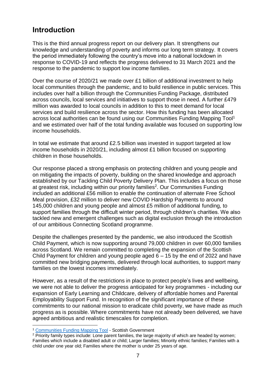## <span id="page-6-0"></span>**Introduction**

This is the third annual progress report on our delivery plan. It strengthens our knowledge and understanding of poverty and informs our long term strategy. It covers the period immediately following the country's move into a national lockdown in response to COVID-19 and reflects the progress delivered to 31 March 2021 and the response to the pandemic to support low income families.

Over the course of 2020/21 we made over £1 billion of additional investment to help local communities through the pandemic, and to build resilience in public services. This includes over half a billion through the Communities Funding Package, distributed across councils, local services and initiatives to support those in need. A further £479 million was awarded to local councils in addition to this to meet demand for local services and build resilience across the sector. How this funding has been allocated across local authorities can be found using our Communities Funding Mapping Tool<sup>1</sup> and we estimated over half of the total funding available was focused on supporting low income households.

In total we estimate that around £2.5 billion was invested in support targeted at low income households in 2020/21, including almost £1 billion focused on supporting children in those households.

Our response placed a strong emphasis on protecting children and young people and on mitigating the impacts of poverty, building on the shared knowledge and approach established by our Tackling Child Poverty Delivery Plan. This includes a focus on those at greatest risk, including within our priority families<sup>2</sup>. Our Communities Funding included an additional £56 million to enable the continuation of alternate Free School Meal provision, £32 million to deliver new COVID Hardship Payments to around 145,000 children and young people and almost £5 million of additional funding, to support families through the difficult winter period, through children's charities. We also tackled new and emergent challenges such as digital exclusion through the introduction of our ambitious Connecting Scotland programme.

Despite the challenges presented by the pandemic, we also introduced the Scottish Child Payment, which is now supporting around 79,000 children in over 60,000 families across Scotland. We remain committed to completing the expansion of the Scottish Child Payment for children and young people aged 6 – 15 by the end of 2022 and have committed new bridging payments, delivered through local authorities, to support many families on the lowest incomes immediately.

However, as a result of the restrictions in place to protect people's lives and wellbeing, we were not able to deliver the progress anticipated for key programmes - including our expansion of Early Learning and Childcare, delivery of affordable homes and Parental Employability Support Fund. In recognition of the significant importance of these commitments to our national mission to eradicate child poverty, we have made as much progress as is possible. Where commitments have not already been delivered, we have agreed ambitious and realistic timescales for completion.

<sup>&</sup>lt;u>.</u> <sup>1</sup> [Communities Funding Mapping Tool](https://community-funding-mapping-1-1-scotgov.hub.arcgis.com/) - Scottish Government

<sup>&</sup>lt;sup>2</sup> Priority family types include: Lone parent families, the large majority of which are headed by women; Families which include a disabled adult or child; Larger families; Minority ethnic families; Families with a child under one year old; Families where the mother is under 25 years of age.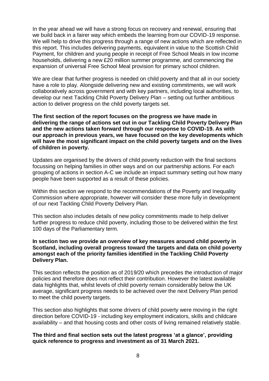In the year ahead we will have a strong focus on recovery and renewal, ensuring that we build back in a fairer way which embeds the learning from our COVID-19 response. We will help to drive this progress through a range of new actions which are reflected in this report. This includes delivering payments, equivalent in value to the Scottish Child Payment, for children and young people in receipt of Free School Meals in low income households, delivering a new £20 million summer programme, and commencing the expansion of universal Free School Meal provision for primary school children.

We are clear that further progress is needed on child poverty and that all in our society have a role to play. Alongside delivering new and existing commitments, we will work collaboratively across government and with key partners, including local authorities, to develop our next Tackling Child Poverty Delivery Plan – setting out further ambitious action to deliver progress on the child poverty targets set.

**The first section of the report focuses on the progress we have made in delivering the range of actions set out in our Tackling Child Poverty Delivery Plan and the new actions taken forward through our response to COVID-19. As with our approach in previous years, we have focused on the key developments which will have the most significant impact on the child poverty targets and on the lives of children in poverty.**

Updates are organised by the drivers of child poverty reduction with the final sections focussing on helping families in other ways and on our partnership actions. For each grouping of actions in section A-C we include an impact summary setting out how many people have been supported as a result of these policies.

Within this section we respond to the recommendations of the Poverty and Inequality Commission where appropriate, however will consider these more fully in development of our next Tackling Child Poverty Delivery Plan.

This section also includes details of new policy commitments made to help deliver further progress to reduce child poverty, including those to be delivered within the first 100 days of the Parliamentary term.

#### **In section two we provide an overview of key measures around child poverty in Scotland, including overall progress toward the targets and data on child poverty amongst each of the priority families identified in the Tackling Child Poverty Delivery Plan.**

This section reflects the position as of 2019/20 which precedes the introduction of major policies and therefore does not reflect their contribution. However the latest available data highlights that, whilst levels of child poverty remain considerably below the UK average, significant progress needs to be achieved over the next Delivery Plan period to meet the child poverty targets.

This section also highlights that some drivers of child poverty were moving in the right direction before COVID-19 - including key employment indicators, skills and childcare availability – and that housing costs and other costs of living remained relatively stable.

#### **The third and final section sets out the latest progress 'at a glance', providing quick reference to progress and investment as of 31 March 2021.**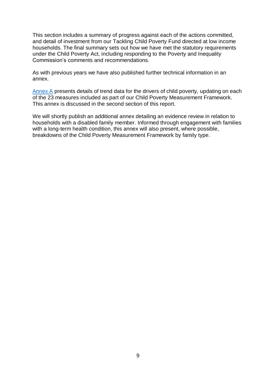This section includes a summary of progress against each of the actions committed, and detail of investment from our Tackling Child Poverty Fund directed at low income households. The final summary sets out how we have met the statutory requirements under the Child Poverty Act, including responding to the Poverty and Inequality Commission's comments and recommendations.

As with previous years we have also published further technical information in an annex.

[Annex A](https://www.gov.scot/ISBN/978-1-80201-058-9) presents details of trend data for the drivers of child poverty, updating on each of the 23 measures included as part of our Child Poverty Measurement Framework. This annex is discussed in the second section of this report.

We will shortly publish an additional annex detailing an evidence review in relation to households with a disabled family member. Informed through engagement with families with a long-term health condition, this annex will also present, where possible, breakdowns of the Child Poverty Measurement Framework by family type.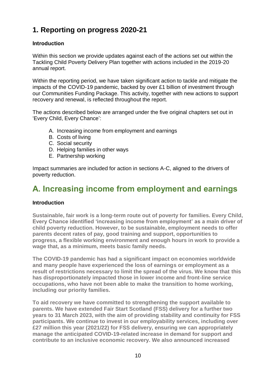## <span id="page-9-0"></span>**1. Reporting on progress 2020-21**

## **Introduction**

Within this section we provide updates against each of the actions set out within the Tackling Child Poverty Delivery Plan together with actions included in the 2019-20 annual report.

Within the reporting period, we have taken significant action to tackle and mitigate the impacts of the COVID-19 pandemic, backed by over £1 billion of investment through our Communities Funding Package. This activity, together with new actions to support recovery and renewal, is reflected throughout the report.

The actions described below are arranged under the five original chapters set out in 'Every Child, Every Chance':

- A. Increasing income from employment and earnings
- B. Costs of living
- C. Social security
- D. Helping families in other ways
- E. Partnership working

Impact summaries are included for action in sections A-C, aligned to the drivers of poverty reduction.

## <span id="page-9-1"></span>**A. Increasing income from employment and earnings**

## **Introduction**

**Sustainable, fair work is a long-term route out of poverty for families. Every Child, Every Chance identified 'increasing income from employment' as a main driver of child poverty reduction. However, to be sustainable, employment needs to offer parents decent rates of pay, good training and support, opportunities to progress, a flexible working environment and enough hours in work to provide a wage that, as a minimum, meets basic family needs.**

**The COVID-19 pandemic has had a significant impact on economies worldwide and many people have experienced the loss of earnings or employment as a result of restrictions necessary to limit the spread of the virus. We know that this has disproportionately impacted those in lower income and front-line service occupations, who have not been able to make the transition to home working, including our priority families.**

**To aid recovery we have committed to strengthening the support available to parents. We have extended Fair Start Scotland (FSS) delivery for a further two years to 31 March 2023, with the aim of providing stability and continuity for FSS participants. We continue to invest in our employability services, including over £27 million this year (2021/22) for FSS delivery, ensuring we can appropriately manage the anticipated COVID-19-related increase in demand for support and contribute to an inclusive economic recovery. We also announced increased**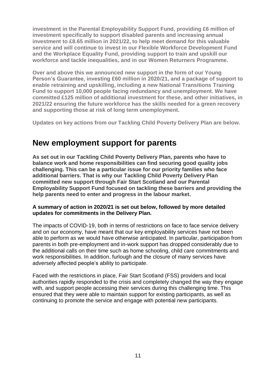**investment in the Parental Employability Support Fund, providing £6 million of investment specifically to support disabled parents and increasing annual investment to £8.65 million in 2021/22, to help meet demand for this valuable service and will continue to invest in our Flexible Workforce Development Fund and the Workplace Equality Fund, providing support to train and upskill our workforce and tackle inequalities, and in our Women Returners Programme.**

**Over and above this we announced new support in the form of our Young Person's Guarantee, investing £60 million in 2020/21, and a package of support to enable retraining and upskilling, including a new National Transitions Training Fund to support 10,000 people facing redundancy and unemployment. We have committed £125 million of additional investment for these, and other initiatives, in 2021/22 ensuring the future workforce has the skills needed for a green recovery and supporting those at risk of long term unemployment.**

**Updates on key actions from our Tackling Child Poverty Delivery Plan are below.**

## **New employment support for parents**

**As set out in our Tackling Child Poverty Delivery Plan, parents who have to balance work and home responsibilities can find securing good quality jobs challenging. This can be a particular issue for our priority families who face additional barriers. That is why our Tackling Child Poverty Delivery Plan committed new support through Fair Start Scotland and our Parental Employability Support Fund focused on tackling these barriers and providing the help parents need to enter and progress in the labour market.**

### **A summary of action in 2020/21 is set out below, followed by more detailed updates for commitments in the Delivery Plan.**

The impacts of COVID-19, both in terms of restrictions on face to face service delivery and on our economy, have meant that our key employability services have not been able to perform as we would have otherwise anticipated. In particular, participation from parents in both pre-employment and in-work support has dropped considerably due to the additional calls on their time such as home schooling, child care commitments and work responsibilities. In addition, furlough and the closure of many services have adversely affected people's ability to participate.

Faced with the restrictions in place, Fair Start Scotland (FSS) providers and local authorities rapidly responded to the crisis and completely changed the way they engage with, and support people accessing their services during this challenging time. This ensured that they were able to maintain support for existing participants, as well as continuing to promote the service and engage with potential new participants.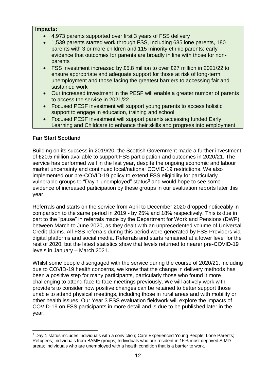#### **Impacts:**

- 4,973 parents supported over first 3 years of FSS delivery
- 1,539 parents started work through FSS, including 685 lone parents, 180 parents with 3 or more children and 115 minority ethnic parents; early evidence that outcomes for parents are broadly in line with those for nonparents
- FSS investment increased by £5.8 million to over £27 million in 2021/22 to ensure appropriate and adequate support for those at risk of long-term unemployment and those facing the greatest barriers to accessing fair and sustained work
- Our increased investment in the PESF will enable a greater number of parents to access the service in 2021/22
- Focused PESF investment will support young parents to access holistic support to engage in education, training and school
- Focused PESF investment will support parents accessing funded Early Learning and Childcare to enhance their skills and progress into employment

## **Fair Start Scotland**

Building on its success in 2019/20, the Scottish Government made a further investment of £20.5 million available to support FSS participation and outcomes in 2020/21. The service has performed well in the last year, despite the ongoing economic and labour market uncertainty and continued local/national COVID-19 restrictions. We also implemented our pre-COVID-19 policy to extend FSS eligibility for particularly vulnerable groups to "Day 1 unemployed" status<sup>3</sup> and would hope to see some evidence of increased participation by these groups in our evaluation reports later this year.

Referrals and starts on the service from April to December 2020 dropped noticeably in comparison to the same period in 2019 - by 25% and 18% respectively. This is due in part to the "pause" in referrals made by the Department for Work and Pensions (DWP) between March to June 2020, as they dealt with an unprecedented volume of Universal Credit claims. All FSS referrals during this period were generated by FSS Providers via digital platforms and social media. Referrals and starts remained at a lower level for the rest of 2020, but the latest statistics show that levels returned to nearer pre-COVID-19 levels in January – March 2021.

Whilst some people disengaged with the service during the course of 2020/21, including due to COVID-19 health concerns, we know that the change in delivery methods has been a positive step for many participants, particularly those who found it more challenging to attend face to face meetings previously. We will actively work with providers to consider how positive changes can be retained to better support those unable to attend physical meetings, including those in rural areas and with mobility or other health issues. Our Year 3 FSS evaluation fieldwork will explore the impacts of COVID-19 on FSS participants in more detail and is due to be published later in the year.

<sup>1</sup> <sup>3</sup> Day 1 status includes individuals with a conviction; Care Experienced Young People; Lone Parents; Refugees; Individuals from BAME groups; Individuals who are resident in 15% most deprived SIMD areas; Individuals who are unemployed with a health condition that is a barrier to work.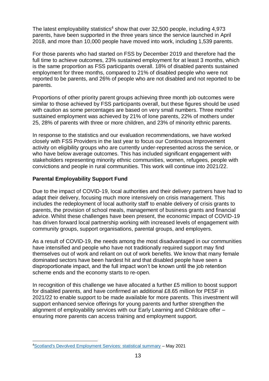The latest employability statistics<sup>4</sup> show that over 32,500 people, including  $4.973$ parents, have been supported in the three years since the service launched in April 2018, and more than 10,000 people have moved into work, including 1,539 parents.

For those parents who had started on FSS by December 2019 and therefore had the full time to achieve outcomes, 23% sustained employment for at least 3 months, which is the same proportion as FSS participants overall. 18% of disabled parents sustained employment for three months, compared to 21% of disabled people who were not reported to be parents, and 26% of people who are not disabled and not reported to be parents.

Proportions of other priority parent groups achieving three month job outcomes were similar to those achieved by FSS participants overall, but these figures should be used with caution as some percentages are based on very small numbers. Three months' sustained employment was achieved by 21% of lone parents, 22% of mothers under 25, 28% of parents with three or more children, and 23% of minority ethnic parents.

In response to the statistics and our evaluation recommendations, we have worked closely with FSS Providers in the last year to focus our Continuous Improvement activity on eligibility groups who are currently under-represented across the service, or who have below average outcomes. This has included significant engagement with stakeholders representing minority ethnic communities, women, refugees, people with convictions and people in rural communities. This work will continue into 2021/22.

## **Parental Employability Support Fund**

Due to the impact of COVID-19, local authorities and their delivery partners have had to adapt their delivery, focusing much more intensively on crisis management. This includes the redeployment of local authority staff to enable delivery of crisis grants to parents, the provision of school meals, management of business grants and financial advice. Whilst these challenges have been present, the economic impact of COVID-19 has driven forward local partnership working with increased levels of engagement with community groups, support organisations, parental groups, and employers.

As a result of COVID-19, the needs among the most disadvantaged in our communities have intensified and people who have not traditionally required support may find themselves out of work and reliant on out of work benefits. We know that many female dominated sectors have been hardest hit and that disabled people have seen a disproportionate impact, and the full impact won't be known until the job retention scheme ends and the economy starts to re-open.

In recognition of this challenge we have allocated a further £5 million to boost support for disabled parents, and have confirmed an additional £8.65 million for PESF in 2021/22 to enable support to be made available for more parents. This investment will support enhanced service offerings for young parents and further strengthen the alignment of employability services with our Early Learning and Childcare offer – ensuring more parents can access training and employment support.

<sup>1</sup> <sup>4</sup>[Scotland's Devolved Employment Services: statistical summary](https://www.gov.scot/publications/scotlands-devolved-employment-services-statistical-summary-10/) – May 2021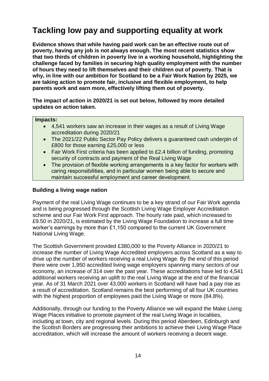# **Tackling low pay and supporting equality at work**

**Evidence shows that while having paid work can be an effective route out of poverty, having any job is not always enough. The most recent statistics show that two thirds of children in poverty live in a working household, highlighting the challenge faced by families in securing high quality employment with the number of hours they need to lift themselves and their children out of poverty. That is why, in line with our ambition for Scotland to be a Fair Work Nation by 2025, we are taking action to promote fair, inclusive and flexible employment, to help parents work and earn more, effectively lifting them out of poverty.**

**The impact of action in 2020/21 is set out below, followed by more detailed updates on action taken.**

#### **Impacts:**

- 4,541 workers saw an increase in their wages as a result of Living Wage accreditation during 2020/21
- The 2021/22 Public Sector Pay Policy delivers a guaranteed cash underpin of £800 for those earning £25,000 or less
- Fair Work First criteria has been applied to £2.4 billion of funding, promoting security of contracts and payment of the Real Living Wage
- The provision of flexible working arrangements is a key factor for workers with caring responsibilities, and in particular women being able to secure and maintain successful employment and career development.

### **Building a living wage nation**

Payment of the real Living Wage continues to be a key strand of our Fair Work agenda and is being progressed through the Scottish Living Wage Employer Accreditation scheme and our Fair Work First approach. The hourly rate paid, which increased to £9.50 in 2020/21, is estimated by the Living Wage Foundation to increase a full time worker's earnings by more than £1,150 compared to the current UK Government National Living Wage.

The Scottish Government provided £380,000 to the Poverty Alliance in 2020/21 to increase the number of Living Wage Accredited employers across Scotland as a way to drive up the number of workers receiving a real Living Wage. By the end of this period there were over 1,950 accredited living wage employers spanning many sectors of our economy, an increase of 314 over the past year. These accreditations have led to 4,541 additional workers receiving an uplift to the real Living Wage at the end of the financial year. As of 31 March 2021 over 43,000 workers in Scotland will have had a pay rise as a result of accreditation. Scotland remains the best performing of all four UK countries with the highest proportion of employees paid the Living Wage or more (84.8%).

Additionally, through our funding to the Poverty Alliance we will expand the Make Living Wage Places initiative to promote payment of the real Living Wage in localities, including at town, city and regional levels. During this period Aberdeen, Edinburgh and the Scottish Borders are progressing their ambitions to achieve their Living Wage Place accreditation, which will increase the amount of workers receiving a decent wage.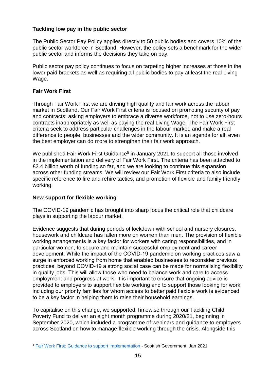## **Tackling low pay in the public sector**

The Public Sector Pay Policy applies directly to 50 public bodies and covers 10% of the public sector workforce in Scotland. However, the policy sets a benchmark for the wider public sector and informs the decisions they take on pay.

Public sector pay policy continues to focus on targeting higher increases at those in the lower paid brackets as well as requiring all public bodies to pay at least the real Living Wage.

## **Fair Work First**

Through Fair Work First we are driving high quality and fair work across the labour market in Scotland. Our Fair Work First criteria is focused on promoting security of pay and contracts; asking employers to embrace a diverse workforce, not to use zero-hours contracts inappropriately as well as paying the real Living Wage. The Fair Work First criteria seek to address particular challenges in the labour market, and make a real difference to people, businesses and the wider community. It is an agenda for all; even the best employer can do more to strengthen their fair work approach.

We published Fair Work First Guidance<sup>5</sup> in January 2021 to support all those involved in the implementation and delivery of Fair Work First. The criteria has been attached to £2.4 billion worth of funding so far, and we are looking to continue this expansion across other funding streams. We will review our Fair Work First criteria to also include specific reference to fire and rehire tactics, and promotion of flexible and family friendly working.

#### **New support for flexible working**

The COVID-19 pandemic has brought into sharp focus the critical role that childcare plays in supporting the labour market.

Evidence suggests that during periods of lockdown with school and nursery closures, housework and childcare has fallen more on women than men. The provision of flexible working arrangements is a key factor for workers with caring responsibilities, and in particular women, to secure and maintain successful employment and career development. While the impact of the COVID-19 pandemic on working practices saw a surge in enforced working from home that enabled businesses to reconsider previous practices, beyond COVID-19 a strong social case can be made for normalising flexibility in quality jobs. This will allow those who need to balance work and care to access employment and progress at work. It is important to ensure that ongoing advice is provided to employers to support flexible working and to support those looking for work, including our priority families for whom access to better paid flexible work is evidenced to be a key factor in helping them to raise their household earnings.

To capitalise on this change, we supported Timewise through our Tackling Child Poverty Fund to deliver an eight month programme during 2020/21, beginning in September 2020, which included a programme of webinars and guidance to employers across Scotland on how to manage flexible working through the crisis. Alongside this

<sup>1</sup> <sup>5</sup> [Fair Work First: Guidance to support implementation](https://www.gov.scot/publications/fair-work-first-guidance-support-implementation/) - Scottish Government, Jan 2021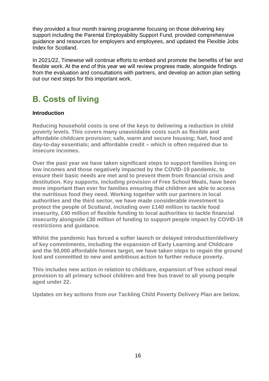they provided a four month training programme focusing on those delivering key support including the Parental Employability Support Fund, provided comprehensive guidance and resources for employers and employees, and updated the Flexible Jobs Index for Scotland.

In 2021/22, Timewise will continue efforts to embed and promote the benefits of fair and flexible work. At the end of this year we will review progress made, alongside findings from the evaluation and consultations with partners, and develop an action plan setting out our next steps for this important work.

# <span id="page-15-0"></span>**B. Costs of living**

## **Introduction**

**Reducing household costs is one of the keys to delivering a reduction in child poverty levels. This covers many unavoidable costs such as flexible and affordable childcare provision; safe, warm and secure housing; fuel, food and day-to-day essentials; and affordable credit – which is often required due to insecure incomes.**

**Over the past year we have taken significant steps to support families living on low incomes and those negatively impacted by the COVID-19 pandemic, to ensure their basic needs are met and to prevent them from financial crisis and destitution. Key supports, including provision of Free School Meals, have been more important than ever for families ensuring that children are able to access the nutritious food they need. Working together with our partners in local authorities and the third sector, we have made considerable investment to protect the people of Scotland, including over £140 million to tackle food insecurity, £40 million of flexible funding to local authorities to tackle financial insecurity alongside £30 million of funding to support people impact by COVID-19 restrictions and guidance.**

**Whilst the pandemic has forced a softer launch or delayed introduction/delivery of key commitments, including the expansion of Early Learning and Childcare and the 50,000 affordable homes target, we have taken steps to regain the ground lost and committed to new and ambitious action to further reduce poverty.**

**This includes new action in relation to childcare, expansion of free school meal provision to all primary school children and free bus travel to all young people aged under 22.**

**Updates on key actions from our Tackling Child Poverty Delivery Plan are below.**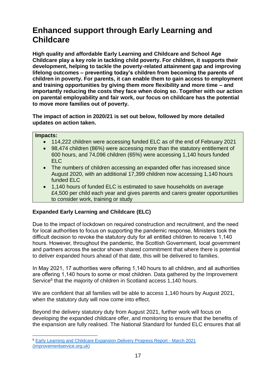# **Enhanced support through Early Learning and Childcare**

**High quality and affordable Early Learning and Childcare and School Age Childcare play a key role in tackling child poverty. For children, it supports their development, helping to tackle the poverty-related attainment gap and improving lifelong outcomes – preventing today's children from becoming the parents of children in poverty. For parents, it can enable them to gain access to employment and training opportunities by giving them more flexibility and more time – and importantly reducing the costs they face when doing so. Together with our action on parental employability and fair work, our focus on childcare has the potential to move more families out of poverty.** 

**The impact of action in 2020/21 is set out below, followed by more detailed updates on action taken.**

#### **Impacts:**

- 114,222 children were accessing funded ELC as of the end of February 2021
- 98,474 children (86%) were accessing more than the statutory entitlement of 600 hours, and 74,096 children (65%) were accessing 1,140 hours funded ELC
- The numbers of children accessing an expanded offer has increased since August 2020, with an additional 17,399 children now accessing 1,140 hours funded ELC
- 1,140 hours of funded ELC is estimated to save households on average £4,500 per child each year and gives parents and carers greater opportunities to consider work, training or study

## **Expanded Early Learning and Childcare (ELC)**

Due to the impact of lockdown on required construction and recruitment, and the need for local authorities to focus on supporting the pandemic response, Ministers took the difficult decision to revoke the statutory duty for all entitled children to receive 1,140 hours. However, throughout the pandemic, the Scottish Government, local government and partners across the sector shown shared commitment that where there is potential to deliver expanded hours ahead of that date, this will be delivered to families.

In May 2021, 17 authorities were offering 1,140 hours to all children, and all authorities are offering 1,140 hours to some or most children. Data gathered by the Improvement Service<sup>6</sup> that the majority of children in Scotland access 1,140 hours.

We are confident that all families will be able to access 1,140 hours by August 2021, when the statutory duty will now come into effect.

Beyond the delivery statutory duty from August 2021, further work will focus on developing the expanded childcare offer, and monitoring to ensure that the benefits of the expansion are fully realised. The National Standard for funded ELC ensures that all

<sup>1</sup> <sup>6</sup> [Early Learning and Childcare Expansion Delivery Progress Report](https://www.improvementservice.org.uk/__data/assets/pdf_file/0017/24632/ELC-Delivery-Progress-Report-March-2021.pdf) - March 2021 (improvementservice.org.uk)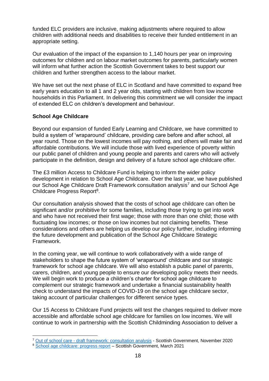funded ELC providers are inclusive, making adjustments where required to allow children with additional needs and disabilities to receive their funded entitlement in an appropriate setting.

Our evaluation of the impact of the expansion to 1,140 hours per year on improving outcomes for children and on labour market outcomes for parents, particularly women will inform what further action the Scottish Government takes to best support our children and further strengthen access to the labour market.

We have set out the next phase of ELC in Scotland and have committed to expand free early years education to all 1 and 2 year olds, starting with children from low income households in this Parliament. In delivering this commitment we will consider the impact of extended ELC on children's development and behaviour.

### **School Age Childcare**

1

Beyond our expansion of funded Early Learning and Childcare, we have committed to build a system of 'wraparound' childcare, providing care before and after school, all year round. Those on the lowest incomes will pay nothing, and others will make fair and affordable contributions. We will include those with lived experience of poverty within our public panel of children and young people and parents and carers who will actively participate in the definition, design and delivery of a future school age childcare offer.

The £3 million Access to Childcare Fund is helping to inform the wider policy development in relation to School Age Childcare. Over the last year, we have published our School Age Childcare Draft Framework consultation analysis<sup>7</sup> and our School Age Childcare Progress Report<sup>8</sup>.

Our consultation analysis showed that the costs of school age childcare can often be significant and/or prohibitive for some families, including those trying to get into work and who have not received their first wage; those with more than one child; those with fluctuating low incomes; or those on low incomes but not claiming benefits. These considerations and others are helping us develop our policy further, including informing the future development and publication of the School Age Childcare Strategic Framework.

In the coming year, we will continue to work collaboratively with a wide range of stakeholders to shape the future system of 'wraparound' childcare and our strategic framework for school age childcare. We will also establish a public panel of parents, carers, children, and young people to ensure our developing policy meets their needs. We will begin work to produce a children's charter for school age childcare to complement our strategic framework and undertake a financial sustainability health check to understand the impacts of COVID-19 on the school age childcare sector, taking account of particular challenges for different service types.

Our 15 Access to Childcare Fund projects will test the changes required to deliver more accessible and affordable school age childcare for families on low incomes. We will continue to work in partnership with the Scottish Childminding Association to deliver a

<sup>7</sup> Out of school care - [draft framework: consultation analysis](https://www.gov.scot/publications/out-school-care-analysis-consultation-responses/pages/10/) - Scottish Government, November 2020

<sup>8</sup> [School age childcare: progress report](https://www.gov.scot/publications/school-age-childcare-progress-report/) – Scottish Government, March 2021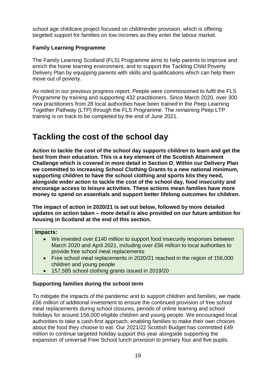school age childcare project focused on childminder provision, which is offering targeted support for families on low incomes as they enter the labour market.

## **Family Learning Programme**

The Family Learning Scotland (FLS) Programme aims to help parents to improve and enrich the home learning environment, and to support the Tackling Child Poverty Delivery Plan by equipping parents with skills and qualifications which can help them move out of poverty.

As noted in our previous progress report, Peeple were commissioned to fulfil the FLS Programme by training and supporting 432 practitioners. Since March 2020, over 300 new practitioners from 28 local authorities have been trained in the Peep Learning Together Pathway (LTP) through the FLS Programme. The remaining Peep LTP training is on track to be completed by the end of June 2021.

## **Tackling the cost of the school day**

**Action to tackle the cost of the school day supports children to learn and get the best from their education. This is a key element of the Scottish Attainment Challenge which is covered in more detail in Section D. Within our Delivery Plan we committed to increasing School Clothing Grants to a new national minimum, supporting children to have the school clothing and sports kits they need, alongside wider action to tackle the cost of the school day, food insecurity and encourage access to leisure activities. These actions mean families have more money to spend on essentials and support better lifelong outcomes for children.**

**The impact of action in 2020/21 is set out below, followed by more detailed updates on action taken – more detail is also provided on our future ambition for housing in Scotland at the end of this section.**

#### **Impacts:**

- We invested over £140 million to support food insecurity responses between March 2020 and April 2021, including over £56 million to local authorities to provide free school meal replacements
- Free school meal replacements in 2020/21 reached in the region of 156,000 children and young people
- 157,585 school clothing grants issued in 2019/20

## **Supporting families during the school term**

To mitigate the impacts of the pandemic and to support children and families, we made £56 million of additional investment to ensure the continued provision of free school meal replacements during school closures, periods of online learning and school holidays for around 156,000 eligible children and young people. We encouraged local authorities to take a cash-first approach, enabling families to make their own choices about the food they choose to eat. Our 2021/22 Scottish Budget has committed £49 million to continue targeted holiday support this year alongside supporting the expansion of universal Free School lunch provision to primary four and five pupils.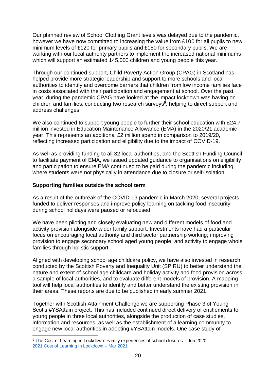Our planned review of School Clothing Grant levels was delayed due to the pandemic, however we have now committed to increasing the value from £100 for all pupils to new minimum levels of £120 for primary pupils and £150 for secondary pupils. We are working with our local authority partners to implement the increased national minimums which will support an estimated 145,000 children and young people this year.

Through our continued support, Child Poverty Action Group (CPAG) in Scotland has helped provide more strategic leadership and support to more schools and local authorities to identify and overcome barriers that children from low income families face in costs associated with their participation and engagement at school. Over the past year, during the pandemic CPAG have looked at the impact lockdown was having on children and families, conducting two research surveys<sup>9</sup>, helping to direct support and address challenges.

We also continued to support young people to further their school education with £24.7 million invested in Education Maintenance Allowance (EMA) in the 2020/21 academic year. This represents an additional £2 million spend in comparison to 2019/20, reflecting increased participation and eligibility due to the impact of COVID-19.

As well as providing funding to all 32 local authorities, and the Scottish Funding Council to facilitate payment of EMA, we issued updated guidance to organisations on eligibility and participation to ensure EMA continued to be paid during the pandemic including where students were not physically in attendance due to closure or self-isolation.

### **Supporting families outside the school term**

1

As a result of the outbreak of the COVID-19 pandemic in March 2020, several projects funded to deliver responses and improve policy learning on tackling food insecurity during school holidays were paused or refocused.

We have been piloting and closely evaluating new and different models of food and activity provision alongside wider family support. Investments have had a particular focus on encouraging local authority and third sector partnership working; improving provision to engage secondary school aged young people; and activity to engage whole families through holistic support.

Aligned with developing school age childcare policy, we have also invested in research conducted by the Scottish Poverty and Inequality Unit (SPIRU) to better understand the nature and extent of school age childcare and holiday activity and food provision across a sample of local authorities, and to evaluate different models of provision. A mapping tool will help local authorities to identify and better understand the existing provision in their areas. These reports are due to be published in early summer 2021.

Together with Scottish Attainment Challenge we are supporting Phase 3 of Young Scot's #YSAttain project. This has included continued direct delivery of entitlements to young people in three local authorities, alongside the production of case studies, information and resources, as well as the establishment of a learning community to engage new local authorities in adopting #YSAttain models. One case study of

<sup>&</sup>lt;sup>9</sup> [The Cost of Learning in Lockdown: Family experiences of school closures](https://cpag.org.uk/sites/default/files/files/The-cost-of-learning-in-lockdown-Scotland-FINAL.pdf) – Jun 2020 [2021 Cost of Learning in Lockdown](https://cpag.org.uk/policy-and-campaigns/report/cost-learning-lockdown-march-2021-update-scotland) – Mar 2021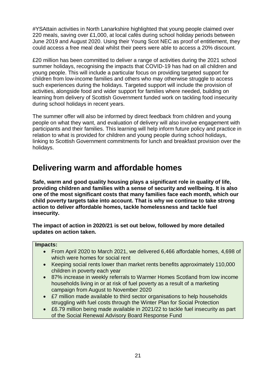#YSAttain activities in North Lanarkshire highlighted that young people claimed over 220 meals, saving over £1,000, at local cafés during school holiday periods between June 2019 and August 2020. Using their Young Scot NEC as proof of entitlement, they could access a free meal deal whilst their peers were able to access a 20% discount.

£20 million has been committed to deliver a range of activities during the 2021 school summer holidays, recognising the impacts that COVID-19 has had on all children and young people. This will include a particular focus on providing targeted support for children from low-income families and others who may otherwise struggle to access such experiences during the holidays. Targeted support will include the provision of activities, alongside food and wider support for families where needed, building on learning from delivery of Scottish Government funded work on tackling food insecurity during school holidays in recent years.

The summer offer will also be informed by direct feedback from children and young people on what they want, and evaluation of delivery will also involve engagement with participants and their families. This learning will help inform future policy and practice in relation to what is provided for children and young people during school holidays, linking to Scottish Government commitments for lunch and breakfast provision over the holidays.

## **Delivering warm and affordable homes**

**Safe, warm and good quality housing plays a significant role in quality of life, providing children and families with a sense of security and wellbeing. It is also one of the most significant costs that many families face each month, which our child poverty targets take into account. That is why we continue to take strong action to deliver affordable homes, tackle homelessness and tackle fuel insecurity.**

**The impact of action in 2020/21 is set out below, followed by more detailed updates on action taken.**

#### **Impacts:**

- From April 2020 to March 2021, we delivered 6,466 affordable homes, 4,698 of which were homes for social rent
- Keeping social rents lower than market rents benefits approximately 110,000 children in poverty each year
- 87% increase in weekly referrals to Warmer Homes Scotland from low income households living in or at risk of fuel poverty as a result of a marketing campaign from August to November 2020
- £7 million made available to third sector organisations to help households struggling with fuel costs through the Winter Plan for Social Protection
- £6.79 million being made available in 2021/22 to tackle fuel insecurity as part of the Social Renewal Advisory Board Response Fund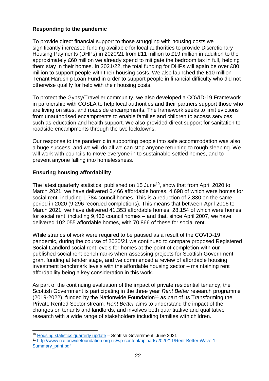## **Responding to the pandemic**

To provide direct financial support to those struggling with housing costs we significantly increased funding available for local authorities to provide Discretionary Housing Payments (DHPs) in 2020/21 from £11 million to £19 million in addition to the approximately £60 million we already spend to mitigate the bedroom tax in full, helping them stay in their homes. In 2021/22, the total funding for DHPs will again be over £80 million to support people with their housing costs. We also launched the £10 million Tenant Hardship Loan Fund in order to support people in financial difficulty who did not otherwise qualify for help with their housing costs.

To protect the Gypsy/Traveller community, we also developed a COVID-19 Framework in partnership with COSLA to help local authorities and their partners support those who are living on sites, and roadside encampments. The framework seeks to limit evictions from unauthorised encampments to enable families and children to access services such as education and health support. We also provided direct support for sanitation to roadside encampments through the two lockdowns.

Our response to the pandemic in supporting people into safe accommodation was also a huge success, and we will do all we can stop anyone returning to rough sleeping. We will work with councils to move everyone in to sustainable settled homes, and to prevent anyone falling into homelessness.

## **Ensuring housing affordability**

1

The latest quarterly statistics, published on 15 June<sup>10</sup>, show that from April 2020 to March 2021, we have delivered 6,466 affordable homes, 4,698 of which were homes for social rent, including 1,784 council homes. This is a reduction of 2,830 on the same period in 2020 (9,296 recorded completions). This means that between April 2016 to March 2021, we have delivered 41,353 affordable homes, 28,154 of which were homes for social rent, including 9,436 council homes – and that, since April 2007, we have delivered 102,055 affordable homes, with 70,866 of these for social rent.

While strands of work were required to be paused as a result of the COVID-19 pandemic, during the course of 2020/21 we continued to compare proposed Registered Social Landlord social rent levels for homes at the point of completion with our published social rent benchmarks when assessing projects for Scottish Government grant funding at tender stage, and we commenced a review of affordable housing investment benchmark levels with the affordable housing sector – maintaining rent affordability being a key consideration in this work.

As part of the continuing evaluation of the impact of private residential tenancy, the Scottish Government is participating in the three year *Rent Better* research programme (2019-2022), funded by the Nationwide Foundation<sup>11</sup> as part of its Transforming the Private Rented Sector stream. *Rent Better* aims to understand the impact of the changes on tenants and landlords, and involves both quantitative and qualitative research with a wide range of stakeholders including families with children.

<sup>&</sup>lt;sup>10</sup> [Housing statistics quarterly update](https://www.gov.scot/publications/housing-statistics-scotland-quarterly-update-2/) - Scottish Government, June 2021

<sup>11</sup> [http://www.nationwidefoundation.org.uk/wp-content/uploads/2020/11/Rent-Better-Wave-1-](http://www.nationwidefoundation.org.uk/wp-content/uploads/2020/11/Rent-Better-Wave-1-Summary_print.pdf) [Summary\\_print.pdf](http://www.nationwidefoundation.org.uk/wp-content/uploads/2020/11/Rent-Better-Wave-1-Summary_print.pdf)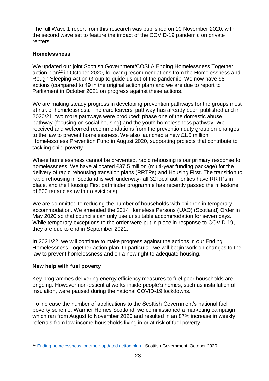The full Wave 1 report from this research was published on 10 November 2020, with the second wave set to feature the impact of the COVID-19 pandemic on private renters.

#### **Homelessness**

We updated our joint Scottish Government/COSLA Ending Homelessness Together action plan<sup>12</sup> in October 2020, following recommendations from the Homelessness and Rough Sleeping Action Group to guide us out of the pandemic. We now have 98 actions (compared to 49 in the original action plan) and we are due to report to Parliament in October 2021 on progress against these actions.

We are making steady progress in developing prevention pathways for the groups most at risk of homelessness. The care leavers' pathway has already been published and in 2020/21, two more pathways were produced: phase one of the domestic abuse pathway (focusing on social housing) and the youth homelessness pathway. We received and welcomed recommendations from the prevention duty group on changes to the law to prevent homelessness. We also launched a new £1.5 million Homelessness Prevention Fund in August 2020, supporting projects that contribute to tackling child poverty.

Where homelessness cannot be prevented, rapid rehousing is our primary response to homelessness. We have allocated £37.5 million (multi-year funding package) for the delivery of rapid rehousing transition plans (RRTPs) and Housing First. The transition to rapid rehousing in Scotland is well underway- all 32 local authorities have RRTPs in place, and the Housing First pathfinder programme has recently passed the milestone of 500 tenancies (with no evictions).

We are committed to reducing the number of households with children in temporary accommodation. We amended the 2014 Homeless Persons (UAO) (Scotland) Order in May 2020 so that councils can only use unsuitable accommodation for seven days. While temporary exceptions to the order were put in place in response to COVID-19, they are due to end in September 2021.

In 2021/22, we will continue to make progress against the actions in our Ending Homelessness Together action plan. In particular, we will begin work on changes to the law to prevent homelessness and on a new right to adequate housing.

## **New help with fuel poverty**

Key programmes delivering energy efficiency measures to fuel poor households are ongoing. However non-essential works inside people's homes, such as installation of insulation, were paused during the national COVID-19 lockdowns.

To increase the number of applications to the Scottish Government's national fuel poverty scheme, Warmer Homes Scotland, we commissioned a marketing campaign which ran from August to November 2020 and resulted in an 87% increase in weekly referrals from low income households living in or at risk of fuel poverty.

<sup>1</sup> <sup>12</sup> [Ending homelessness together: updated action plan](https://www.gov.scot/publications/ending-homelessness-together-updated-action-plan-october-2020/) - Scottish Government, October 2020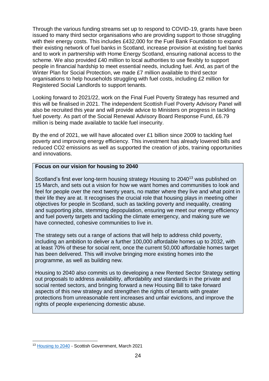Through the various funding streams set up to respond to COVID-19, grants have been issued to many third sector organisations who are providing support to those struggling with their energy costs. This includes £432,000 for the Fuel Bank Foundation to expand their existing network of fuel banks in Scotland, increase provision at existing fuel banks and to work in partnership with Home Energy Scotland, ensuring national access to the scheme. We also provided £40 million to local authorities to use flexibly to support people in financial hardship to meet essential needs, including fuel. And, as part of the Winter Plan for Social Protection, we made £7 million available to third sector organisations to help households struggling with fuel costs, including £2 million for Registered Social Landlords to support tenants.

Looking forward to 2021/22, work on the Final Fuel Poverty Strategy has resumed and this will be finalised in 2021. The independent Scottish Fuel Poverty Advisory Panel will also be recruited this year and will provide advice to Ministers on progress in tackling fuel poverty. As part of the Social Renewal Advisory Board Response Fund, £6.79 million is being made available to tackle fuel insecurity.

By the end of 2021, we will have allocated over £1 billion since 2009 to tackling fuel poverty and improving energy efficiency. This investment has already lowered bills and reduced CO2 emissions as well as supported the creation of jobs, training opportunities and innovations.

#### **Focus on our vision for housing to 2040**

Scotland's first ever long-term housing strategy Housing to 2040<sup>13</sup> was published on 15 March, and sets out a vision for how we want homes and communities to look and feel for people over the next twenty years, no matter where they live and what point in their life they are at. It recognises the crucial role that housing plays in meeting other objectives for people in Scotland, such as tackling poverty and inequality, creating and supporting jobs, stemming depopulation, ensuring we meet our energy efficiency and fuel poverty targets and tackling the climate emergency, and making sure we have connected, cohesive communities to live in.

The strategy sets out a range of actions that will help to address child poverty, including an ambition to deliver a further 100,000 affordable homes up to 2032, with at least 70% of these for social rent, once the current 50,000 affordable homes target has been delivered. This will involve bringing more existing homes into the programme, as well as building new.

Housing to 2040 also commits us to developing a new Rented Sector Strategy setting out proposals to address availability, affordability and standards in the private and social rented sectors, and bringing forward a new Housing Bill to take forward aspects of this new strategy and strengthen the rights of tenants with greater protections from unreasonable rent increases and unfair evictions, and improve the rights of people experiencing domestic abuse.

<sup>1</sup> <sup>13</sup> [Housing to 2040](https://www.gov.scot/publications/housing-2040-2/) - Scottish Government, March 2021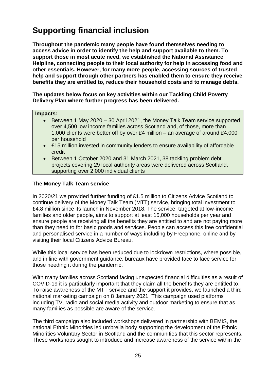# **Supporting financial inclusion**

**Throughout the pandemic many people have found themselves needing to access advice in order to identify the help and support available to them. To support those in most acute need, we established the National Assistance Helpline, connecting people to their local authority for help in accessing food and other essentials. However, for many more people, accessing sources of trusted help and support through other partners has enabled them to ensure they receive benefits they are entitled to, reduce their household costs and to manage debts.**

**The updates below focus on key activities within our Tackling Child Poverty Delivery Plan where further progress has been delivered.**

#### **Impacts:**

- Between 1 May 2020 30 April 2021, the Money Talk Team service supported over 4,500 low income families across Scotland and, of those, more than 1,000 clients were better off by over £4 million – an average of around £4,000 per household
- £15 million invested in community lenders to ensure availability of affordable credit
- Between 1 October 2020 and 31 March 2021, 38 tackling problem debt projects covering 29 local authority areas were delivered across Scotland, supporting over 2,000 individual clients

### **The Money Talk Team service**

In 2020/21 we provided further funding of £1.5 million to Citizens Advice Scotland to continue delivery of the Money Talk Team (MTT) service, bringing total investment to £4.8 million since its launch in November 2018. The service, targeted at low-income families and older people, aims to support at least 15,000 households per year and ensure people are receiving all the benefits they are entitled to and are not paying more than they need to for basic goods and services. People can access this free confidential and personalised service in a number of ways including by Freephone, online and by visiting their local Citizens Advice Bureau.

While this local service has been reduced due to lockdown restrictions, where possible, and in line with government guidance, bureaux have provided face to face service for those needing it during the pandemic.

With many families across Scotland facing unexpected financial difficulties as a result of COVID-19 it is particularly important that they claim all the benefits they are entitled to. To raise awareness of the MTT service and the support it provides, we launched a third national marketing campaign on 8 January 2021. This campaign used platforms including TV, radio and social media activity and outdoor marketing to ensure that as many families as possible are aware of the service.

The third campaign also included workshops delivered in partnership with BEMIS, the national Ethnic Minorities led umbrella body supporting the development of the Ethnic Minorities Voluntary Sector in Scotland and the communities that this sector represents. These workshops sought to introduce and increase awareness of the service within the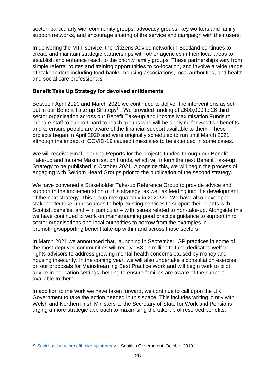sector, particularly with community groups, advocacy groups, key workers and family support networks, and encourage sharing of the service and campaign with their users.

In delivering the MTT service, the Citizens Advice network in Scotland continues to create and maintain strategic partnerships with other agencies in their local areas to establish and enhance reach to the priority family groups. These partnerships vary from simple referral routes and training opportunities to co-location, and involve a wide range of stakeholders including food banks, housing associations, local authorities, and health and social care professionals.

## **Benefit Take Up Strategy for devolved entitlements**

Between April 2020 and March 2021 we continued to deliver the interventions as set out in our Benefit Take-up Strategy<sup>14</sup>. We provided funding of £600,000 to 26 third sector organisation across our Benefit Take-up and Income Maximisation Funds to prepare staff to support hard to reach groups who will be applying for Scottish benefits, and to ensure people are aware of the financial support available to them. These projects began in April 2020 and were originally scheduled to run until March 2021, although the impact of COVID-19 caused timescales to be extended in some cases.

We will receive Final Learning Reports for the projects funded through our Benefit Take-up and Income Maximisation Funds, which will inform the next Benefit Take-up Strategy to be published in October 2021. Alongside this, we will begin the process of engaging with Seldom Heard Groups prior to the publication of the second strategy.

We have convened a Stakeholder Take-up Reference Group to provide advice and support in the implementation of this strategy, as well as feeding into the development of the next strategy. This group met quarterly in 2020/21. We have also developed stakeholder take-up resources to help existing services to support their clients with Scottish benefits, and – in particular – with issues related to non-take-up. Alongside this we have continued to work on mainstreaming good practice guidance to support third sector organisations and local authorities to borrow from the examples in promoting/supporting benefit take-up within and across those sectors.

In March 2021 we announced that, launching in September, GP practices in some of the most deprived communities will receive £3.17 million to fund dedicated welfare rights advisors to address growing mental health concerns caused by money and housing insecurity. In the coming year, we will also undertake a consultation exercise on our proposals for Mainstreaming Best Practice Work and will begin work to pilot advice in education settings, helping to ensure families are aware of the support available to them.

In addition to the work we have taken forward, we continue to call upon the UK Government to take the action needed in this space. This includes writing jointly with Welsh and Northern Irish Ministers to the Secretary of State for Work and Pensions urging a more strategic approach to maximising the take-up of reserved benefits.

<sup>1</sup> <sup>14</sup> [Social security: benefit take-up strategy](https://www.gov.scot/publications/social-security-scotland-act-2019-benefit-take-up-strategy-october-2019/) – Scottish Government, October 2019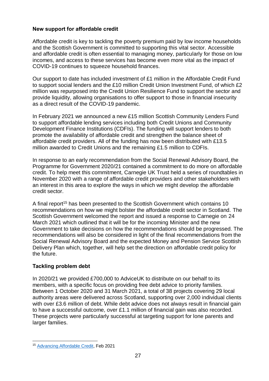## **New support for affordable credit**

Affordable credit is key to tackling the poverty premium paid by low income households and the Scottish Government is committed to supporting this vital sector. Accessible and affordable credit is often essential to managing money, particularly for those on low incomes, and access to these services has become even more vital as the impact of COVID-19 continues to squeeze household finances.

Our support to date has included investment of £1 million in the Affordable Credit Fund to support social lenders and the £10 million Credit Union Investment Fund, of which £2 million was repurposed into the Credit Union Resilience Fund to support the sector and provide liquidity, allowing organisations to offer support to those in financial insecurity as a direct result of the COVID-19 pandemic.

In February 2021 we announced a new £15 million Scottish Community Lenders Fund to support affordable lending services including both Credit Unions and Community Development Finance Institutions (CDFIs). The funding will support lenders to both promote the availability of affordable credit and strengthen the balance sheet of affordable credit providers. All of the funding has now been distributed with £13.5 million awarded to Credit Unions and the remaining £1.5 million to CDFIs.

In response to an early recommendation from the Social Renewal Advisory Board, the Programme for Government 2020/21 contained a commitment to do more on affordable credit. To help meet this commitment, Carnegie UK Trust held a series of roundtables in November 2020 with a range of affordable credit providers and other stakeholders with an interest in this area to explore the ways in which we might develop the affordable credit sector.

A final report<sup>15</sup> has been presented to the Scottish Government which contains 10 recommendations on how we might bolster the affordable credit sector in Scotland. The Scottish Government welcomed the report and issued a response to Carnegie on 24 March 2021 which outlined that it will be for the incoming Minister and the new Government to take decisions on how the recommendations should be progressed. The recommendations will also be considered in light of the final recommendations from the Social Renewal Advisory Board and the expected Money and Pension Service Scottish Delivery Plan which, together, will help set the direction on affordable credit policy for the future.

## **Tackling problem debt**

In 2020/21 we provided £700,000 to AdviceUK to distribute on our behalf to its members, with a specific focus on providing free debt advice to priority families. Between 1 October 2020 and 31 March 2021, a total of 38 projects covering 29 local authority areas were delivered across Scotland, supporting over 2,000 individual clients with over £3.6 million of debt. While debt advice does not always result in financial gain to have a successful outcome, over £1.1 million of financial gain was also recorded. These projects were particularly successful at targeting support for lone parents and larger families.

<sup>1</sup> <sup>15</sup> [Advancing Affordable Credit,](https://d1ssu070pg2v9i.cloudfront.net/pex/carnegie_uk_trust/2021/02/25110634/Advancing-Affordable-Credit-CUKT-report-for-SG-Final-Version.pdf) Feb 2021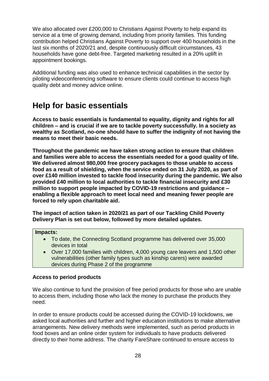We also allocated over £200,000 to Christians Against Poverty to help expand its service at a time of growing demand, including from priority families. This funding contribution helped Christians Against Poverty to support over 400 households in the last six months of 2020/21 and, despite continuously difficult circumstances, 43 households have gone debt-free. Targeted marketing resulted in a 20% uplift in appointment bookings.

Additional funding was also used to enhance technical capabilities in the sector by piloting videoconferencing software to ensure clients could continue to access high quality debt and money advice online.

# **Help for basic essentials**

**Access to basic essentials is fundamental to equality, dignity and rights for all children – and is crucial if we are to tackle poverty successfully. In a society as wealthy as Scotland, no-one should have to suffer the indignity of not having the means to meet their basic needs.**

**Throughout the pandemic we have taken strong action to ensure that children and families were able to access the essentials needed for a good quality of life. We delivered almost 980,000 free grocery packages to those unable to access food as a result of shielding, when the service ended on 31 July 2020, as part of over £140 million invested to tackle food insecurity during the pandemic. We also provided £40 million to local authorities to tackle financial insecurity and £30 million to support people impacted by COVID-19 restrictions and guidance – enabling a flexible approach to meet local need and meaning fewer people are forced to rely upon charitable aid.**

**The impact of action taken in 2020/21 as part of our Tackling Child Poverty Delivery Plan is set out below, followed by more detailed updates.**

#### **Impacts:**

- To date, the Connecting Scotland programme has delivered over 35,000 devices in total
- Over 17,000 families with children, 4,000 young care leavers and 1,500 other vulnerabilities (other family types such as kinship carers) were awarded devices during Phase 2 of the programme

#### **Access to period products**

We also continue to fund the provision of free period products for those who are unable to access them, including those who lack the money to purchase the products they need.

In order to ensure products could be accessed during the COVID-19 lockdowns, we asked local authorities and further and higher education institutions to make alternative arrangements. New delivery methods were implemented, such as period products in food boxes and an online order system for individuals to have products delivered directly to their home address. The charity FareShare continued to ensure access to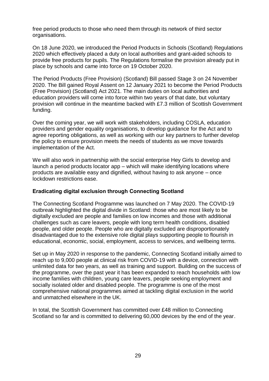free period products to those who need them through its network of third sector organisations.

On 18 June 2020, we introduced the Period Products in Schools (Scotland) Regulations 2020 which effectively placed a duty on local authorities and grant-aided schools to provide free products for pupils. The Regulations formalise the provision already put in place by schools and came into force on 19 October 2020.

The Period Products (Free Provision) (Scotland) Bill passed Stage 3 on 24 November 2020. The Bill gained Royal Assent on 12 January 2021 to become the Period Products (Free Provision) (Scotland) Act 2021. The main duties on local authorities and education providers will come into force within two years of that date, but voluntary provision will continue in the meantime backed with £7.3 million of Scottish Government funding.

Over the coming year, we will work with stakeholders, including COSLA, education providers and gender equality organisations, to develop guidance for the Act and to agree reporting obligations, as well as working with our key partners to further develop the policy to ensure provision meets the needs of students as we move towards implementation of the Act.

We will also work in partnership with the social enterprise Hey Girls to develop and launch a period products locator app – which will make identifying locations where products are available easy and dignified, without having to ask anyone – once lockdown restrictions ease.

#### **Eradicating digital exclusion through Connecting Scotland**

The Connecting Scotland Programme was launched on 7 May 2020. The COVID-19 outbreak highlighted the digital divide in Scotland: those who are most likely to be digitally excluded are people and families on low incomes and those with additional challenges such as care leavers, people with long term health conditions, disabled people, and older people. People who are digitally excluded are disproportionately disadvantaged due to the extensive role digital plays supporting people to flourish in educational, economic, social, employment, access to services, and wellbeing terms.

Set up in May 2020 in response to the pandemic, Connecting Scotland initially aimed to reach up to 9,000 people at clinical risk from COVID-19 with a device, connection with unlimited data for two years, as well as training and support. Building on the success of the programme, over the past year it has been expanded to reach households with low income families with children, young care leavers, people seeking employment and socially isolated older and disabled people. The programme is one of the most comprehensive national programmes aimed at tackling digital exclusion in the world and unmatched elsewhere in the UK.

In total, the Scottish Government has committed over £48 million to Connecting Scotland so far and is committed to delivering 60,000 devices by the end of the year.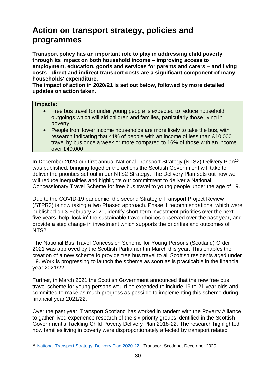# **Action on transport strategy, policies and programmes**

**Transport policy has an important role to play in addressing child poverty, through its impact on both household income – improving access to employment, education, goods and services for parents and carers – and living costs - direct and indirect transport costs are a significant component of many households' expenditure.**

**The impact of action in 2020/21 is set out below, followed by more detailed updates on action taken.**

#### **Impacts:**

- Free bus travel for under young people is expected to reduce household outgoings which will aid children and families, particularly those living in poverty
- People from lower income households are more likely to take the bus, with research indicating that 41% of people with an income of less than £10,000 travel by bus once a week or more compared to 16% of those with an income over £40,000

In December 2020 our first annual National Transport Strategy (NTS2) Delivery Plan<sup>16</sup> was published, bringing together the actions the Scottish Government will take to deliver the priorities set out in our NTS2 Strategy. The Delivery Plan sets out how we will reduce inequalities and highlights our commitment to deliver a National Concessionary Travel Scheme for free bus travel to young people under the age of 19.

Due to the COVID-19 pandemic, the second Strategic Transport Project Review (STPR2) is now taking a two Phased approach. Phase 1 recommendations, which were published on 3 February 2021, identify short-term investment priorities over the next five years, help 'lock in' the sustainable travel choices observed over the past year, and provide a step change in investment which supports the priorities and outcomes of NTS2.

The National Bus Travel Concession Scheme for Young Persons (Scotland) Order 2021 was approved by the Scottish Parliament in March this year. This enables the creation of a new scheme to provide free bus travel to all Scottish residents aged under 19. Work is progressing to launch the scheme as soon as is practicable in the financial year 2021/22.

Further, in March 2021 the Scottish Government announced that the new free bus travel scheme for young persons would be extended to include 19 to 21 year olds and committed to make as much progress as possible to implementing this scheme during financial year 2021/22.

Over the past year, Transport Scotland has worked in tandem with the Poverty Alliance to gather lived experience research of the six priority groups identified in the Scottish Government's Tackling Child Poverty Delivery Plan 2018-22. The research highlighted how families living in poverty were disproportionately affected by transport related

<sup>1</sup> <sup>16</sup> [National Transport Strategy, Delivery Plan 2020-22](https://www.transport.gov.scot/media/48839/nts-delivery-plan-2020-2022.pdf) - Transport Scotland, December 2020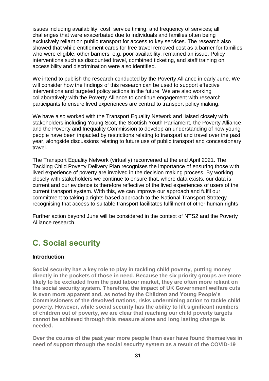issues including availability, cost, service timing, and frequency of services; all challenges that were exacerbated due to individuals and families often being exclusively reliant on public transport for access to key services. The research also showed that while entitlement cards for free travel removed cost as a barrier for families who were eligible, other barriers, e.g. poor availability, remained an issue. Policy interventions such as discounted travel, combined ticketing, and staff training on accessibility and discrimination were also identified.

We intend to publish the research conducted by the Poverty Alliance in early June. We will consider how the findings of this research can be used to support effective interventions and targeted policy actions in the future. We are also working collaboratively with the Poverty Alliance to continue engagement with research participants to ensure lived experiences are central to transport policy making.

We have also worked with the Transport Equality Network and liaised closely with stakeholders including Young Scot, the Scottish Youth Parliament, the Poverty Alliance, and the Poverty and Inequality Commission to develop an understanding of how young people have been impacted by restrictions relating to transport and travel over the past year, alongside discussions relating to future use of public transport and concessionary travel.

The Transport Equality Network (virtually) reconvened at the end April 2021. The Tackling Child Poverty Delivery Plan recognises the importance of ensuring those with lived experience of poverty are involved in the decision making process. By working closely with stakeholders we continue to ensure that, where data exists, our data is current and our evidence is therefore reflective of the lived experiences of users of the current transport system. With this, we can improve our approach and fulfil our commitment to taking a rights-based approach to the National Transport Strategy recognising that access to suitable transport facilitates fulfilment of other human rights

Further action beyond June will be considered in the context of NTS2 and the Poverty Alliance research.

## <span id="page-30-0"></span>**C. Social security**

#### **Introduction**

**Social security has a key role to play in tackling child poverty, putting money directly in the pockets of those in need. Because the six priority groups are more likely to be excluded from the paid labour market, they are often more reliant on the social security system. Therefore, the impact of UK Government welfare cuts is even more apparent and, as noted by the Children and Young People's Commissioners of the devolved nations, risks undermining action to tackle child poverty. However, while social security has the ability to lift significant numbers of children out of poverty, we are clear that reaching our child poverty targets cannot be achieved through this measure alone and long lasting change is needed.**

**Over the course of the past year more people than ever have found themselves in need of support through the social security system as a result of the COVID-19**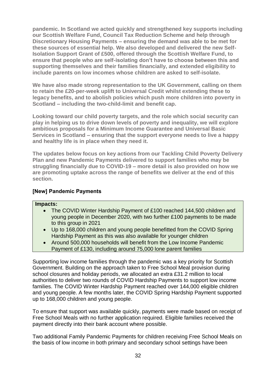**pandemic. In Scotland we acted quickly and strengthened key supports including our Scottish Welfare Fund, Council Tax Reduction Scheme and help through Discretionary Housing Payments – ensuring the demand was able to be met for these sources of essential help. We also developed and delivered the new Self-Isolation Support Grant of £500, offered through the Scottish Welfare Fund, to ensure that people who are self-isolating don't have to choose between this and supporting themselves and their families financially, and extended eligibility to include parents on low incomes whose children are asked to self-isolate.**

**We have also made strong representation to the UK Government, calling on them to retain the £20-per-week uplift to Universal Credit whilst extending these to legacy benefits, and to abolish policies which push more children into poverty in Scotland – including the two-child-limit and benefit cap.** 

**Looking toward our child poverty targets, and the role which social security can play in helping us to drive down levels of poverty and inequality, we will explore ambitious proposals for a Minimum Income Guarantee and Universal Basic Services in Scotland – ensuring that the support everyone needs to live a happy and healthy life is in place when they need it.** 

**The updates below focus on key actions from our Tackling Child Poverty Delivery Plan and new Pandemic Payments delivered to support families who may be struggling financially due to COVID-19 – more detail is also provided on how we are promoting uptake across the range of benefits we deliver at the end of this section.**

#### **[New] Pandemic Payments**

#### **Impacts:**

- The COVID Winter Hardship Payment of £100 reached 144,500 children and young people in December 2020, with two further £100 payments to be made to this group in 2021
- Up to 168,000 children and young people benefitted from the COVID Spring Hardship Payment as this was also available for younger children
- Around 500,000 households will benefit from the Low Income Pandemic Payment of £130, including around 75,000 lone parent families

Supporting low income families through the pandemic was a key priority for Scottish Government. Building on the approach taken to Free School Meal provision during school closures and holiday periods, we allocated an extra £31.2 million to local authorities to deliver two rounds of COVID Hardship Payments to support low income families. The COVID Winter Hardship Payment reached over 144,000 eligible children and young people. A few months later, the COVID Spring Hardship Payment supported up to 168,000 children and young people.

To ensure that support was available quickly, payments were made based on receipt of Free School Meals with no further application required. Eligible families received the payment directly into their bank account where possible.

Two additional Family Pandemic Payments for children receiving Free School Meals on the basis of low income in both primary and secondary school settings have been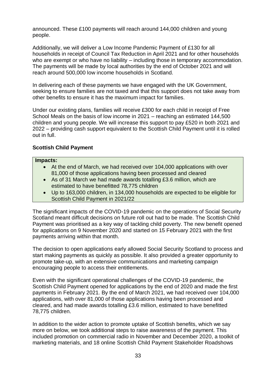announced. These £100 payments will reach around 144,000 children and young people.

Additionally, we will deliver a Low Income Pandemic Payment of £130 for all households in receipt of Council Tax Reduction in April 2021 and for other households who are exempt or who have no liability – including those in temporary accommodation. The payments will be made by local authorities by the end of October 2021 and will reach around 500,000 low income households in Scotland.

In delivering each of these payments we have engaged with the UK Government, seeking to ensure families are not taxed and that this support does not take away from other benefits to ensure it has the maximum impact for families.

Under our existing plans, families will receive £300 for each child in receipt of Free School Meals on the basis of low income in 2021 – reaching an estimated 144,500 children and young people. We will increase this support to pay £520 in both 2021 and 2022 – providing cash support equivalent to the Scottish Child Payment until it is rolled out in full.

## **Scottish Child Payment**

#### **Impacts:**

- At the end of March, we had received over 104,000 applications with over 81,000 of those applications having been processed and cleared
- As of 31 March we had made awards totalling £3.6 million, which are estimated to have benefitted 78,775 children
- Up to 163,000 children, in 134,000 households are expected to be eligible for Scottish Child Payment in 2021/22

The significant impacts of the COVID-19 pandemic on the operations of Social Security Scotland meant difficult decisions on future roll out had to be made. The Scottish Child Payment was prioritised as a key way of tackling child poverty. The new benefit opened for applications on 9 November 2020 and started on 15 February 2021 with the first payments arriving within that month.

The decision to open applications early allowed Social Security Scotland to process and start making payments as quickly as possible. It also provided a greater opportunity to promote take-up, with an extensive communications and marketing campaign encouraging people to access their entitlements.

Even with the significant operational challenges of the COVID-19 pandemic, the Scottish Child Payment opened for applications by the end of 2020 and made the first payments in February 2021. By the end of March 2021, we had received over 104,000 applications, with over 81,000 of those applications having been processed and cleared, and had made awards totalling £3.6 million, estimated to have benefitted 78,775 children.

In addition to the wider action to promote uptake of Scottish benefits, which we say more on below, we took additional steps to raise awareness of the payment. This included promotion on commercial radio in November and December 2020, a toolkit of marketing materials, and 18 online Scottish Child Payment Stakeholder Roadshows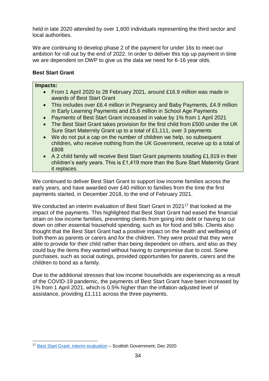held in late 2020 attended by over 1,600 individuals representing the third sector and local authorities.

We are continuing to develop phase 2 of the payment for under 16s to meet our ambition for roll out by the end of 2022. In order to deliver this top up payment in time we are dependent on DWP to give us the data we need for 6-16 year olds.

## **Best Start Grant**

#### **Impacts:**

- From 1 April 2020 to 28 February 2021, around £16.9 million was made in awards of Best Start Grant
- This includes over £6.4 million in Pregnancy and Baby Payments, £4.9 million in Early Learning Payments and £5.6 million in School Age Payments
- Payments of Best Start Grant increased in value by 1% from 1 April 2021
- The Best Start Grant takes provision for the first child from £500 under the UK Sure Start Maternity Grant up to a total of £1,111, over 3 payments
- We do not put a cap on the number of children we help, so subsequent children, who receive nothing from the UK Government, receive up to a total of £808
- A 2 child family will receive Best Start Grant payments totalling £1,919 in their children's early years. This is £1,419 more than the Sure Start Maternity Grant it replaces.

We continued to deliver Best Start Grant to support low income families across the early years, and have awarded over £40 million to families from the time the first payments started, in December 2018, to the end of February 2021.

We conducted an interim evaluation of Best Start Grant in 2021<sup>17</sup> that looked at the impact of the payments. This highlighted that Best Start Grant had eased the financial strain on low income families, preventing clients from going into debt or having to cut down on other essential household spending, such as for food and bills. Clients also thought that the Best Start Grant had a positive impact on the health and wellbeing of both them as parents or carers and for the children. They were proud that they were able to provide for their child rather than being dependent on others, and also as they could buy the items they wanted without having to compromise due to cost. Some purchases, such as social outings, provided opportunities for parents, carers and the children to bond as a family.

Due to the additional stresses that low income households are experiencing as a result of the COVID-19 pandemic, the payments of Best Start Grant have been increased by 1% from 1 April 2021, which is 0.5% higher than the inflation-adjusted level of assistance, providing £1,111 across the three payments.

<sup>1</sup> <sup>17</sup> [Best Start Grant: interim evaluation](https://www.gov.scot/publications/interim-evaluation-best-start-grant/) - Scottish Government, Dec 2020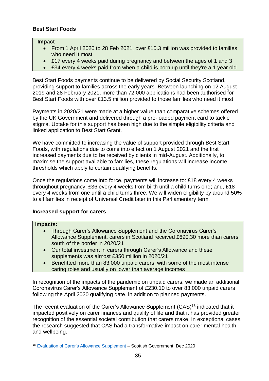### **Best Start Foods**

#### **Impact**

- From 1 April 2020 to 28 Feb 2021, over £10.3 million was provided to families who need it most
- £17 every 4 weeks paid during pregnancy and between the ages of 1 and 3
- £34 every 4 weeks paid from when a child is born up until they're a 1 year old

Best Start Foods payments continue to be delivered by Social Security Scotland, providing support to families across the early years. Between launching on 12 August 2019 and 28 February 2021, more than 72,000 applications had been authorised for Best Start Foods with over £13.5 million provided to those families who need it most.

Payments in 2020/21 were made at a higher value than comparative schemes offered by the UK Government and delivered through a pre-loaded payment card to tackle stigma. Uptake for this support has been high due to the simple eligibility criteria and linked application to Best Start Grant.

We have committed to increasing the value of support provided through Best Start Foods, with regulations due to come into effect on 1 August 2021 and the first increased payments due to be received by clients in mid-August. Additionally, to maximise the support available to families, these regulations will increase income thresholds which apply to certain qualifying benefits.

Once the regulations come into force, payments will increase to: £18 every 4 weeks throughout pregnancy; £36 every 4 weeks from birth until a child turns one; and, £18 every 4 weeks from one until a child turns three. We will widen eligibility by around 50% to all families in receipt of Universal Credit later in this Parliamentary term.

#### **Increased support for carers**

#### **Impacts:**

- Through Carer's Allowance Supplement and the Coronavirus Carer's Allowance Supplement, carers in Scotland received £690.30 more than carers south of the border in 2020/21
- Our total investment in carers through Carer's Allowance and these supplements was almost £350 million in 2020/21
- Benefitted more than 83,000 unpaid carers, with some of the most intense caring roles and usually on lower than average incomes

In recognition of the impacts of the pandemic on unpaid carers, we made an additional Coronavirus Carer's Allowance Supplement of £230.10 to over 83,000 unpaid carers following the April 2020 qualifying date, in addition to planned payments.

The recent evaluation of the Carer's Allowance Supplement (CAS)<sup>18</sup> indicated that it impacted positively on carer finances and quality of life and that it has provided greater recognition of the essential societal contribution that carers make. In exceptional cases, the research suggested that CAS had a transformative impact on carer mental health and wellbeing.

<sup>1</sup> <sup>18</sup> [Evaluation of Carer's Allowance Supplement](https://www.gov.scot/binaries/content/documents/govscot/publications/research-and-analysis/2020/12/evaluation-carers-allowance-supplement/documents/evaluation-carers-allowance-supplement/evaluation-carers-allowance-supplement/govscot%3Adocument/evaluation-carers-allowance-supplement.pdf) - Scottish Government, Dec 2020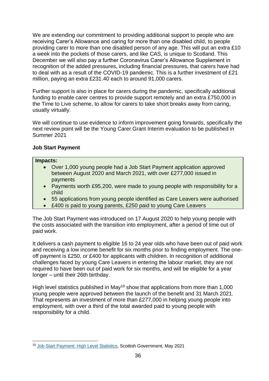We are extending our commitment to providing additional support to people who are receiving Carer's Allowance and caring for more than one disabled child, to people providing carer to more than one disabled person of any age. This will put an extra £10 a week into the pockets of those carers, and like CAS, is unique to Scotland. This December we will also pay a further Coronavirus Carer's Allowance Supplement in recognition of the added pressures, including financial pressures, that carers have had to deal with as a result of the COVID-19 pandemic. This is a further investment of £21 million, paying an extra £231.40 each to around 91,000 carers.

Further support is also in place for carers during the pandemic, specifically additional funding to enable carer centres to provide support remotely and an extra £750,000 in the Time to Live scheme, to allow for carers to take short breaks away from caring, usually virtually.

We will continue to use evidence to inform improvement going forwards, specifically the next review point will be the Young Carer Grant Interim evaluation to be published in Summer 2021

### **Job Start Payment**

#### **Impacts:**

- Over 1,000 young people had a Job Start Payment application approved between August 2020 and March 2021, with over £277,000 issued in payments
- Payments worth £95,200, were made to young people with responsibility for a child
- 55 applications from young people identified as Care Leavers were authorised
- £400 is paid to young parents, £250 paid to young Care Leavers

The Job Start Payment was introduced on 17 August 2020 to help young people with the costs associated with the transition into employment, after a period of time out of paid work.

It delivers a cash payment to eligible 16 to 24 year olds who have been out of paid work and receiving a low income benefit for six months prior to finding employment. The oneoff payment is £250, or £400 for applicants with children. In recognition of additional challenges faced by young Care Leavers in entering the labour market, they are not required to have been out of paid work for six months, and will be eligible for a year longer – until their 26th birthday.

High level statistics published in May<sup>19</sup> show that applications from more than 1,000 young people were approved between the launch of the benefit and 31 March 2021. That represents an investment of more than £277,000 in helping young people into employment, with over a third of the total awarded paid to young people with responsibility for a child.

<sup>1</sup> <sup>19</sup> [Job Start Payment: High Level Statistics,](https://www.gov.scot/publications/job-start-payment-high-level-statistics-to-31-march-2021/) Scottish Government, May 2021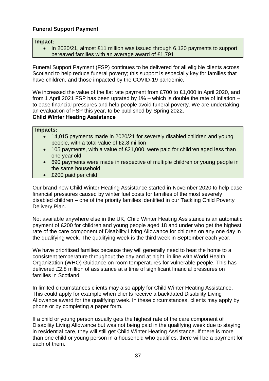# **Funeral Support Payment**

#### **Impact:**

• In 2020/21, almost £11 million was issued through 6,120 payments to support bereaved families with an average award of £1,791

Funeral Support Payment (FSP) continues to be delivered for all eligible clients across Scotland to help reduce funeral poverty; this support is especially key for families that have children, and those impacted by the COVID-19 pandemic.

We increased the value of the flat rate payment from £700 to £1,000 in April 2020, and from 1 April 2021 FSP has been uprated by 1% – which is double the rate of inflation – to ease financial pressures and help people avoid funeral poverty. We are undertaking an evaluation of FSP this year, to be published by Spring 2022.

### **Child Winter Heating Assistance**

### **Impacts:**

- 14,015 payments made in 2020/21 for severely disabled children and young people, with a total value of £2.8 million
- 105 payments, with a value of £21,000, were paid for children aged less than one year old
- 690 payments were made in respective of multiple children or young people in the same household
- £200 paid per child

Our brand new Child Winter Heating Assistance started in November 2020 to help ease financial pressures caused by winter fuel costs for families of the most severely disabled children – one of the priority families identified in our Tackling Child Poverty Delivery Plan.

Not available anywhere else in the UK, Child Winter Heating Assistance is an automatic payment of £200 for children and young people aged 18 and under who get the highest rate of the care component of Disability Living Allowance for children on any one day in the qualifying week. The qualifying week is the third week in September each year.

We have prioritised families because they will generally need to heat the home to a consistent temperature throughout the day and at night, in line with World Health Organization (WHO) Guidance on room temperatures for vulnerable people. This has delivered £2.8 million of assistance at a time of significant financial pressures on families in Scotland.

In limited circumstances clients may also apply for Child Winter Heating Assistance. This could apply for example when clients receive a backdated Disability Living Allowance award for the qualifying week. In these circumstances, clients may apply by phone or by completing a paper form.

If a child or young person usually gets the highest rate of the care component of Disability Living Allowance but was not being paid in the qualifying week due to staying in residential care, they will still get Child Winter Heating Assistance. If there is more than one child or young person in a household who qualifies, there will be a payment for each of them.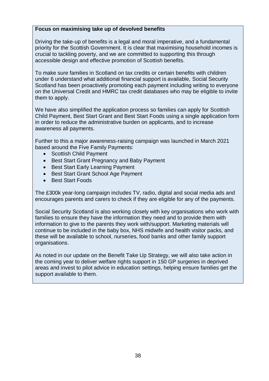### **Focus on maximising take up of devolved benefits**

Driving the take-up of benefits is a legal and moral imperative, and a fundamental priority for the Scottish Government. It is clear that maximising household incomes is crucial to tackling poverty, and we are committed to supporting this through accessible design and effective promotion of Scottish benefits.

To make sure families in Scotland on tax credits or certain benefits with children under 6 understand what additional financial support is available, Social Security Scotland has been proactively promoting each payment including writing to everyone on the Universal Credit and HMRC tax credit databases who may be eligible to invite them to apply.

We have also simplified the application process so families can apply for Scottish Child Payment, Best Start Grant and Best Start Foods using a single application form in order to reduce the administrative burden on applicants, and to increase awareness all payments.

Further to this a major awareness-raising campaign was launched in March 2021 based around the Five Family Payments:

- Scottish Child Payment
- Best Start Grant Pregnancy and Baby Payment
- Best Start Early Learning Payment
- Best Start Grant School Age Payment
- Best Start Foods

The £300k year-long campaign includes TV, radio, digital and social media ads and encourages parents and carers to check if they are eligible for any of the payments.

Social Security Scotland is also working closely with key organisations who work with families to ensure they have the information they need and to provide them with information to give to the parents they work with/support. Marketing materials will continue to be included in the baby box, NHS midwife and health visitor packs, and these will be available to school, nurseries, food banks and other family support organisations.

As noted in our update on the Benefit Take Up Strategy, we will also take action in the coming year to deliver welfare rights support in 150 GP surgeries in deprived areas and invest to pilot advice in education settings, helping ensure families get the support available to them.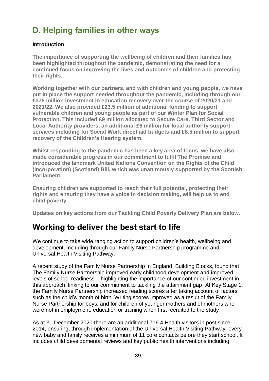# **D. Helping families in other ways**

## **Introduction**

**The importance of supporting the wellbeing of children and their families has been highlighted throughout the pandemic, demonstrating the need for a continued focus on improving the lives and outcomes of children and protecting their rights.**

**Working together with our partners, and with children and young people, we have put in place the support needed throughout the pandemic, including through our £375 million investment in education recovery over the course of 2020/21 and 2021/22. We also provided £23.5 million of additional funding to support vulnerable children and young people as part of our Winter Plan for Social Protection. This included £9 million allocated to Secure Care, Third Sector and Local Authority providers, an additional £6 million for local authority support services including for Social Work direct aid budgets and £8.5 million to support recovery of the Children's Hearing system.**

**Whilst responding to the pandemic has been a key area of focus, we have also made considerable progress in our commitment to fulfil The Promise and introduced the landmark United Nations Convention on the Rights of the Child (Incorporation) (Scotland) Bill, which was unanimously supported by the Scottish Parliament.**

**Ensuring children are supported to reach their full potential, protecting their rights and ensuring they have a voice in decision making, will help us to end child poverty.**

**Updates on key actions from our Tackling Child Poverty Delivery Plan are below.**

# **Working to deliver the best start to life**

We continue to take wide ranging action to support children's health, wellbeing and development, including through our Family Nurse Partnership programme and Universal Health Visiting Pathway.

A recent study of the Family Nurse Partnership in England, Building Blocks, found that The Family Nurse Partnership improved early childhood development and improved levels of school readiness – highlighting the importance of our continued investment in this approach, linking to our commitment to tackling the attainment gap. At Key Stage 1, the Family Nurse Partnership increased reading scores after taking account of factors such as the child's month of birth. Writing scores improved as a result of the Family Nurse Partnership for boys, and for children of younger mothers and of mothers who were not in employment, education or training when first recruited to the study.

As at 31 December 2020 there are an additional 716.4 Health visitors in post since 2014, ensuring, through implementation of the Universal Health Visiting Pathway, every new baby and family receives a minimum of 11 core contacts before they start school. It includes child developmental reviews and key public health interventions including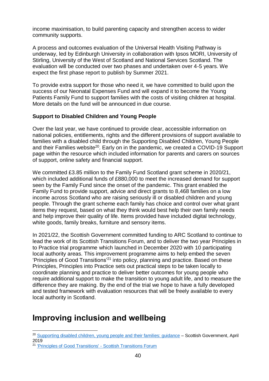income maximisation, to build parenting capacity and strengthen access to wider community supports.

A process and outcomes evaluation of the Universal Health Visiting Pathway is underway, led by Edinburgh University in collaboration with Ipsos MORI, University of Stirling, University of the West of Scotland and National Services Scotland. The evaluation will be conducted over two phases and undertaken over 4-5 years. We expect the first phase report to publish by Summer 2021.

To provide extra support for those who need it, we have committed to build upon the success of our Neonatal Expenses Fund and will expand it to become the Young Patients Family Fund to support families with the costs of visiting children at hospital. More details on the fund will be announced in due course.

# **Support to Disabled Children and Young People**

Over the last year, we have continued to provide clear, accessible information on national policies, entitlements, rights and the different provisions of support available to families with a disabled child through the Supporting Disabled Children, Young People and their Families website<sup>20</sup>. Early on in the pandemic, we created a COVID-19 Support page within the resource which included information for parents and carers on sources of support, online safety and financial support.

We committed £3.85 million to the Family Fund Scotland grant scheme in 2020/21, which included additional funds of £880,000 to meet the increased demand for support seen by the Family Fund since the onset of the pandemic. This grant enabled the Family Fund to provide support, advice and direct grants to 8,468 families on a low income across Scotland who are raising seriously ill or disabled children and young people. Through the grant scheme each family has choice and control over what grant items they request, based on what they think would best help their own family needs and help improve their quality of life. Items provided have included digital technology, white goods, family breaks, furniture and sensory items.

In 2021/22, the Scottish Government committed funding to ARC Scotland to continue to lead the work of its Scottish Transitions Forum, and to deliver the two year Principles in to Practice trial programme which launched in December 2020 with 10 participating local authority areas. This improvement programme aims to help embed the seven 'Principles of Good Transitions'<sup>21</sup> into policy, planning and practice. Based on these Principles, Principles into Practice sets out practical steps to be taken locally to coordinate planning and practice to deliver better outcomes for young people who require additional support to make the transition to young adult life, and to measure the difference they are making. By the end of the trial we hope to have a fully developed and tested framework with evaluation resources that will be freely available to every local authority in Scotland.

# **Improving inclusion and wellbeing**

1

<sup>&</sup>lt;sup>20</sup> [Supporting disabled children, young people and their](https://www.gov.scot/publications/supporting-disabled-children-young-people-and-their-families/pages/introduction/) families: guidance - Scottish Government, April 2019

<sup>21</sup> ['Principles of Good Transitions' -](https://scottishtransitions.org.uk/summary-download/) Scottish Transitions Forum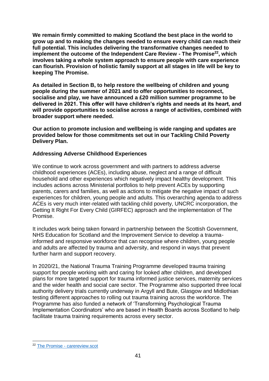**We remain firmly committed to making Scotland the best place in the world to grow up and to making the changes needed to ensure every child can reach their full potential. This includes delivering the transformative changes needed to implement the outcome of the Independent Care Review - The Promise<sup>22</sup>, which involves taking a whole system approach to ensure people with care experience can flourish. Provision of holistic family support at all stages in life will be key to keeping The Promise.** 

**As detailed in Section B, to help restore the wellbeing of children and young people during the summer of 2021 and to offer opportunities to reconnect, socialise and play, we have announced a £20 million summer programme to be delivered in 2021. This offer will have children's rights and needs at its heart, and will provide opportunities to socialise across a range of activities, combined with broader support where needed.**

**Our action to promote inclusion and wellbeing is wide ranging and updates are provided below for those commitments set out in our Tackling Child Poverty Delivery Plan.** 

## **Addressing Adverse Childhood Experiences**

We continue to work across government and with partners to address adverse childhood experiences (ACEs), including abuse, neglect and a range of difficult household and other experiences which negatively impact healthy development. This includes actions across Ministerial portfolios to help prevent ACEs by supporting parents, carers and families, as well as actions to mitigate the negative impact of such experiences for children, young people and adults. This overarching agenda to address ACEs is very much inter-related with tackling child poverty, UNCRC incorporation, the Getting It Right For Every Child (GIRFEC) approach and the implementation of The Promise.

It includes work being taken forward in partnership between the Scottish Government, NHS Education for Scotland and the Improvement Service to develop a traumainformed and responsive workforce that can recognise where children, young people and adults are affected by trauma and adversity, and respond in ways that prevent further harm and support recovery.

In 2020/21, the National Trauma Training Programme developed trauma training support for people working with and caring for looked after children, and developed plans for more targeted support for trauma informed justice services, maternity services and the wider health and social care sector. The Programme also supported three local authority delivery trials currently underway in Argyll and Bute, Glasgow and Midlothian testing different approaches to rolling out trauma training across the workforce. The Programme has also funded a network of 'Transforming Psychological Trauma Implementation Coordinators' who are based in Health Boards across Scotland to help facilitate trauma training requirements across every sector.

<sup>1</sup> <sup>22</sup> The Promise - [carereview.scot](https://www.carereview.scot/wp-content/uploads/2020/02/The-Promise.pdf)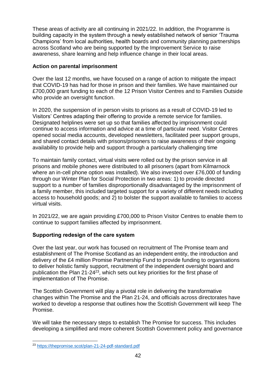These areas of activity are all continuing in 2021/22. In addition, the Programme is building capacity in the system through a newly established network of senior 'Trauma Champions' from local authorities, health boards and community planning partnerships across Scotland who are being supported by the Improvement Service to raise awareness, share learning and help influence change in their local areas.

### **Action on parental imprisonment**

Over the last 12 months, we have focused on a range of action to mitigate the impact that COVID-19 has had for those in prison and their families. We have maintained our £700,000 grant funding to each of the 12 Prison Visitor Centres and to Families Outside who provide an oversight function.

In 2020, the suspension of in person visits to prisons as a result of COVID-19 led to Visitors' Centres adapting their offering to provide a remote service for families. Designated helplines were set up so that families affected by imprisonment could continue to access information and advice at a time of particular need. Visitor Centres opened social media accounts, developed newsletters, facilitated peer support groups, and shared contact details with prisons/prisoners to raise awareness of their ongoing availability to provide help and support through a particularly challenging time

To maintain family contact, virtual visits were rolled out by the prison service in all prisons and mobile phones were distributed to all prisoners (apart from Kilmarnock where an in-cell phone option was installed). We also invested over £76,000 of funding through our Winter Plan for Social Protection in two areas: 1) to provide directed support to a number of families disproportionally disadvantaged by the imprisonment of a family member, this included targeted support for a variety of different needs including access to household goods; and 2) to bolster the support available to families to access virtual visits.

In 2021/22, we are again providing £700,000 to Prison Visitor Centres to enable them to continue to support families affected by imprisonment.

## **Supporting redesign of the care system**

Over the last year, our work has focused on recruitment of The Promise team and establishment of The Promise Scotland as an independent entity, the introduction and delivery of the £4 million Promise Partnership Fund to provide funding to organisations to deliver holistic family support, recruitment of the independent oversight board and publication the Plan  $21-24^{23}$ , which sets out key priorities for the first phase of implementation of The Promise.

The Scottish Government will play a pivotal role in delivering the transformative changes within The Promise and the Plan 21-24, and officials across directorates have worked to develop a response that outlines how the Scottish Government will keep The Promise.

We will take the necessary steps to establish The Promise for success. This includes developing a simplified and more coherent Scottish Government policy and governance

<sup>1</sup> <sup>23</sup> <https://thepromise.scot/plan-21-24-pdf-standard.pdf>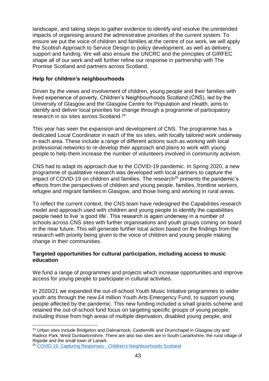landscape, and taking steps to gather evidence to identify and resolve the unintended impacts of organising around the administrative priorities of the current system. To ensure we put the voice of children and families at the centre of our work, we will apply the Scottish Approach to Service Design to policy development, as well as delivery, support and funding. We will also ensure the UNCRC and the principles of GIRFEC shape all of our work and will further refine our response in partnership with The Promise Scotland and partners across Scotland.

### **Help for children's neighbourhoods**

Driven by the views and involvement of children, young people and their families with lived experience of poverty, Children's Neighbourhoods Scotland (CNS), led by the University of Glasgow and the Glasgow Centre for Population and Health, aims to identify and deliver local priorities for change through a programme of participatory research in six sites across Scotland. 24

This year has seen the expansion and development of CNS. The programme has a dedicated Local Coordinator in each of the six sites, with locally tailored work underway in each area. These include a range of different actions such as working with local professional networks to re-develop their approach and plans to work with young people to help them increase the number of volunteers involved in community activism.

CNS had to adapt its approach due to the COVID-19 pandemic. In Spring 2020, a new programme of qualitative research was developed with local partners to capture the  $\frac{1}{2}$  impact of COVID-19 on children and families. The research<sup>25</sup> presents the pandemic's effects from the perspectives of children and young people, families, frontline workers, refugee and migrant families in Glasgow, and those living and working in rural areas.

To reflect the current context, the CNS team have redesigned the Capabilities research model and approach used with children and young people to identify the capabilities people need to live 'a good life'. This research is again underway in a number of schools across CNS sites with further organisations and youth groups coming on board in the near future. This will generate further local action based on the findings from the research with priority being given to the voice of children and young people making change in their communities.

#### **Targeted opportunities for cultural participation, including access to music education**

We fund a range of programmes and projects which increase opportunities and improve access for young people to participate in cultural activities.

In 2020/21 we expanded the out-of-school Youth Music Initiative programmes to wider youth arts through the new £4 million Youth Arts Emergency Fund, to support young people affected by the pandemic. This new funding included a small grants scheme and retained the out-of-school fund focus on targeting specific groups of young people, including those from high areas of multiple deprivation, disabled young people, and

<sup>&</sup>lt;u>.</u> <sup>24</sup> Urban sites include Bridgeton and Dalmarnock, Castlemillk and Drumchapel in Glasgow city and Radnor Park, West Dunbartonshire. There are also two sites are in South Lanarkshire, the rural village of Rigside and the small town of Lanark.

<sup>25</sup> COVID-19: Capturing Responses - [Children's Neighbourhoods Scotland](https://childrensneighbourhoods.scot/home/covid-19/)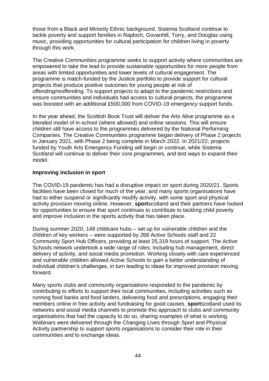those from a Black and Minority Ethnic background. Sistema Scotland continue to tackle poverty and support families in Raploch, Govanhill, Torry, and Douglas using music, providing opportunities for cultural participation for children living in poverty through this work.

The Creative Communities programme seeks to support activity where communities are empowered to take the lead to provide sustainable opportunities for more people from areas with limited opportunities and lower levels of cultural engagement. The programme is match-funded by the Justice portfolio to provide support for cultural projects that produce positive outcomes for young people at risk of offending/reoffending. To support projects to adapt to the pandemic restrictions and ensure communities and individuals had access to cultural projects, the programme was boosted with an additional £500,000 from COVID-19 emergency support funds.

In the year ahead, the Scottish Book Trust will deliver the Arts Alive programme as a blended model of in-school (where allowed) and online sessions. This will ensure children still have access to the programmes delivered by the National Performing Companies. The Creative Communities programme began delivery of Phase 2 projects in January 2021, with Phase 2 being complete in March 2022. In 2021/22, projects funded by Youth Arts Emergency Funding will begin or continue, while Sistema Scotland will continue to deliver their core programmes, and test ways to expand their model.

### **Improving inclusion in sport**

The COVID-19 pandemic has had a disruptive impact on sport during 2020/21. Sports facilities have been closed for much of the year, and many sports organisations have had to either suspend or significantly modify activity, with some sport and physical activity provision moving online. However, **sport**scotland and their partners have looked for opportunities to ensure that sport continues to contribute to tackling child poverty and improve inclusion in the sports activity that has taken place.

During summer 2020, 149 childcare hubs – set up for vulnerable children and the children of key workers – were supported by 268 Active Schools staff and 22 Community Sport Hub Officers, providing at least 25,319 hours of support. The Active Schools network undertook a wide range of roles, including hub management, direct delivery of activity, and social media promotion. Working closely with care experienced and vulnerable children allowed Active Schools to gain a better understanding of individual children's challenges, in turn leading to ideas for improved provision moving forward.

Many sports clubs and community organisations responded to the pandemic by contributing to efforts to support their local communities, including activities such as running food banks and food larders, delivering food and prescriptions, engaging their members online in free activity and fundraising for good causes. **sport**scotland used its networks and social media channels to promote this approach to clubs and community organisations that had the capacity to do so, sharing examples of what is working. Webinars were delivered through the Changing Lives through Sport and Physical Activity partnership to support sports organisations to consider their role in their communities and to exchange ideas.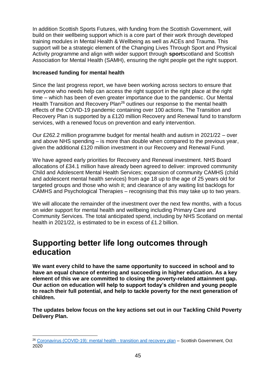In addition Scottish Sports Futures, with funding from the Scottish Government, will build on their wellbeing support which is a core part of their work through developed training modules in Mental Health & Wellbeing as well as ACEs and Trauma. This support will be a strategic element of the Changing Lives Through Sport and Physical Activity programme and align with wider support through **sport**scotland and Scottish Association for Mental Health (SAMH), ensuring the right people get the right support.

# **Increased funding for mental health**

Since the last progress report, we have been working across sectors to ensure that everyone who needs help can access the right support in the right place at the right time – which has been of even greater importance due to the pandemic. Our Mental Health Transition and Recovery Plan<sup>26</sup> outlines our response to the mental health effects of the COVID-19 pandemic containing over 100 actions. The Transition and Recovery Plan is supported by a £120 million Recovery and Renewal fund to transform services, with a renewed focus on prevention and early intervention.

Our £262.2 million programme budget for mental health and autism in 2021/22 – over and above NHS spending – is more than double when compared to the previous year, given the additional £120 million investment in our Recovery and Renewal Fund.

We have agreed early priorities for Recovery and Renewal investment. NHS Board allocations of £34.1 million have already been agreed to deliver: improved community Child and Adolescent Mental Health Services; expansion of community CAMHS (child and adolescent mental health services) from age 18 up to the age of 25 years old for targeted groups and those who wish it; and clearance of any waiting list backlogs for CAMHS and Psychological Therapies – recognising that this may take up to two years.

We will allocate the remainder of the investment over the next few months, with a focus on wider support for mental health and wellbeing including Primary Care and Community Services. The total anticipated spend, including by NHS Scotland on mental health in 2021/22, is estimated to be in excess of £1.2 billion.

# **Supporting better life long outcomes through education**

**We want every child to have the same opportunity to succeed in school and to have an equal chance of entering and succeeding in higher education. As a key element of this we are committed to closing the poverty-related attainment gap. Our action on education will help to support today's children and young people to reach their full potential, and help to tackle poverty for the next generation of children.**

**The updates below focus on the key actions set out in our Tackling Child Poverty Delivery Plan.** 

<sup>1</sup> <sup>26</sup> [Coronavirus \(COVID-19\): mental health -](https://www.gov.scot/publications/mental-health-scotlands-transition-recovery/) transition and recovery plan – Scottish Government, Oct 2020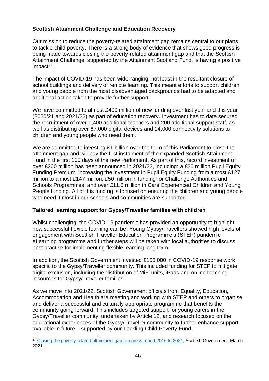# **Scottish Attainment Challenge and Education Recovery**

Our mission to reduce the poverty-related attainment gap remains central to our plans to tackle child poverty. There is a strong body of evidence that shows good progress is being made towards closing the poverty-related attainment gap and that the Scottish Attainment Challenge, supported by the Attainment Scotland Fund, is having a positive impact<sup>27</sup>.

The impact of COVID-19 has been wide-ranging, not least in the resultant closure of school buildings and delivery of remote learning. This meant efforts to support children and young people from the most disadvantaged backgrounds had to be adapted and additional action taken to provide further support.

We have committed to almost £400 million of new funding over last year and this year (2020/21 and 2021/22) as part of education recovery. Investment has to date secured the recruitment of over 1,400 additional teachers and 200 additional support staff, as well as distributing over 67,000 digital devices and 14,000 connectivity solutions to children and young people who need them.

We are committed to investing £1 billion over the term of this Parliament to close the attainment gap and will pay the first instalment of the expanded Scottish Attainment Fund in the first 100 days of the new Parliament. As part of this, record investment of over £200 million has been announced in 2021/22, including: a £20 million Pupil Equity Funding Premium, increasing the investment in Pupil Equity Funding from almost £127 million to almost £147 million; £50 million in funding for Challenge Authorities and Schools Programmes; and over £11.5 million in Care Experienced Children and Young People funding. All of this funding is focused on ensuring the children and young people who need it most in our schools and communities are supported.

## **Tailored learning support for Gypsy/Traveller families with children**

Whilst challenging, the COVID-19 pandemic has provided an opportunity to highlight how successful flexible learning can be. Young Gypsy/Travellers showed high levels of engagement with Scottish Traveller Education Programme's (STEP) pandemic eLearning programme and further steps will be taken with local authorities to discuss best practise for implementing flexible learning long term.

In addition, the Scottish Government invested £155,000 in COVID-19 response work specific to the Gypsy/Traveller community. This included funding for STEP to mitigate digital exclusion, including the distribution of MiFi units, iPads and online teaching resources for Gypsy/Traveller families.

As we move into 2021/22, Scottish Government officials from Equality, Education, Accommodation and Health are meeting and working with STEP and others to organise and deliver a successful and culturally appropriate programme that benefits the community going forward. This includes targeted support for young carers in the Gypsy/Traveller community, undertaken by Article 12, and research focused on the educational experiences of the Gypsy/Traveller community to further enhance support available in future – supported by our Tackling Child Poverty Fund.

<sup>1</sup> <sup>27</sup> [Closing the poverty-related attainment gap: progress report 2016 to 2021,](https://www.gov.scot/publications/closing-poverty-related-attainment-gap-report-progress-2016-2021/) Scottish Government, March 2021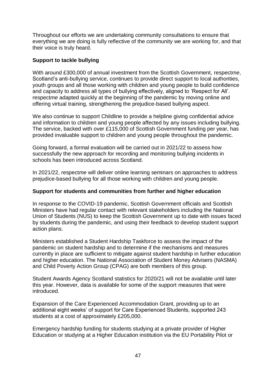Throughout our efforts we are undertaking community consultations to ensure that everything we are doing is fully reflective of the community we are working for, and that their voice is truly heard.

### **Support to tackle bullying**

With around £300,000 of annual investment from the Scottish Government, respect*me*, Scotland's anti-bullying service, continues to provide direct support to local authorities, youth groups and all those working with children and young people to build confidence and capacity to address all types of bullying effectively, aligned to 'Respect for All'. respect*me* adapted quickly at the beginning of the pandemic by moving online and offering virtual training, strengthening the prejudice-based bullying aspect.

We also continue to support Childline to provide a helpline giving confidential advice and information to children and young people affected by any issues including bullying. The service, backed with over £115,000 of Scottish Government funding per year, has provided invaluable support to children and young people throughout the pandemic.

Going forward, a formal evaluation will be carried out in 2021/22 to assess how successfully the new approach for recording and monitoring bullying incidents in schools has been introduced across Scotland.

In 2021/22, respect*me* will deliver online learning seminars on approaches to address prejudice-based bullying for all those working with children and young people.

#### **Support for students and communities from further and higher education**

In response to the COVID-19 pandemic, Scottish Government officials and Scottish Ministers have had regular contact with relevant stakeholders including the National Union of Students (NUS) to keep the Scottish Government up to date with issues faced by students during the pandemic, and using their feedback to develop student support action plans.

Ministers established a Student Hardship Taskforce to assess the impact of the pandemic on student hardship and to determine if the mechanisms and measures currently in place are sufficient to mitigate against student hardship in further education and higher education. The National Association of Student Money Advisers (NASMA) and Child Poverty Action Group (CPAG) are both members of this group.

Student Awards Agency Scotland statistics for 2020/21 will not be available until later this year. However, data is available for some of the support measures that were introduced.

Expansion of the Care Experienced Accommodation Grant, providing up to an additional eight weeks' of support for Care Experienced Students, supported 243 students at a cost of approximately £205,000.

Emergency hardship funding for students studying at a private provider of Higher Education or studying at a Higher Education institution via the EU Portability Pilot or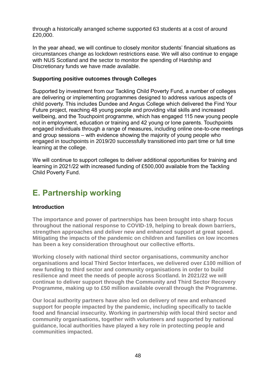through a historically arranged scheme supported 63 students at a cost of around £20,000.

In the year ahead, we will continue to closely monitor students' financial situations as circumstances change as lockdown restrictions ease. We will also continue to engage with NUS Scotland and the sector to monitor the spending of Hardship and Discretionary funds we have made available.

### **Supporting positive outcomes through Colleges**

Supported by investment from our Tackling Child Poverty Fund, a number of colleges are delivering or implementing programmes designed to address various aspects of child poverty. This includes Dundee and Angus College which delivered the Find Your Future project, reaching 48 young people and providing vital skills and increased wellbeing, and the Touchpoint programme, which has engaged 115 new young people not in employment, education or training and 42 young or lone parents. Touchpoints engaged individuals through a range of measures, including online one-to-one meetings and group sessions – with evidence showing the majority of young people who engaged in touchpoints in 2019/20 successfully transitioned into part time or full time learning at the college.

We will continue to support colleges to deliver additional opportunities for training and learning in 2021/22 with increased funding of £500,000 available from the Tackling Child Poverty Fund.

# **E. Partnership working**

#### **Introduction**

**The importance and power of partnerships has been brought into sharp focus throughout the national response to COVID-19, helping to break down barriers, strengthen approaches and deliver new and enhanced support at great speed. Mitigating the impacts of the pandemic on children and families on low incomes has been a key consideration throughout our collective efforts.**

**Working closely with national third sector organisations, community anchor organisations and local Third Sector Interfaces, we delivered over £100 million of new funding to third sector and community organisations in order to build resilience and meet the needs of people across Scotland. In 2021/22 we will continue to deliver support through the Community and Third Sector Recovery Programme, making up to £50 million available overall through the Programme.** 

**Our local authority partners have also led on delivery of new and enhanced support for people impacted by the pandemic, including specifically to tackle food and financial insecurity. Working in partnership with local third sector and community organisations, together with volunteers and supported by national guidance, local authorities have played a key role in protecting people and communities impacted.**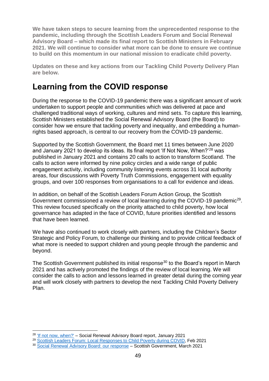**We have taken steps to secure learning from the unprecedented response to the pandemic, including through the Scottish Leaders Forum and Social Renewal Advisory Board – which made its final report to Scottish Ministers in February 2021. We will continue to consider what more can be done to ensure we continue to build on this momentum in our national mission to eradicate child poverty.**

**Updates on these and key actions from our Tackling Child Poverty Delivery Plan are below.**

# **Learning from the COVID response**

During the response to the COVID-19 pandemic there was a significant amount of work undertaken to support people and communities which was delivered at pace and challenged traditional ways of working, cultures and mind sets. To capture this learning, Scottish Ministers established the Social Renewal Advisory Board (the Board) to consider how we ensure that tackling poverty and inequality, and embedding a humanrights based approach, is central to our recovery from the COVID-19 pandemic.

Supported by the Scottish Government, the Board met 11 times between June 2020 and January 2021 to develop its ideas. Its final report 'If Not Now, When?'<sup>28</sup> was published in January 2021 and contains 20 calls to action to transform Scotland. The calls to action were informed by nine policy circles and a wide range of public engagement activity, including community listening events across 31 local authority areas, four discussions with Poverty Truth Commissions, engagement with equality groups, and over 100 responses from organisations to a call for evidence and ideas.

In addition, on behalf of the Scottish Leaders Forum Action Group, the Scottish Government commissioned a review of local learning during the COVID-19 pandemic<sup>29</sup>. This review focused specifically on the priority attached to child poverty, how local governance has adapted in the face of COVID, future priorities identified and lessons that have been learned.

We have also continued to work closely with partners, including the Children's Sector Strategic and Policy Forum, to challenge our thinking and to provide critical feedback of what more is needed to support children and young people through the pandemic and beyond.

The Scottish Government published its initial response<sup>30</sup> to the Board's report in March 2021 and has actively promoted the findings of the review of local learning. We will consider the calls to action and lessons learned in greater detail during the coming year and will work closely with partners to develop the next Tackling Child Poverty Delivery Plan.

1

<sup>&</sup>lt;sup>28</sup> ['If not now, when?'](https://www.gov.scot/publications/not-now-social-renewal-advisory-board-report-january-2021/pages/2/) - Social Renewal Advisory Board report, January 2021

<sup>&</sup>lt;sup>29</sup> [Scottish Leaders Forum: Local Responses to Child Poverty during COVID,](https://www.gov.scot/publications/scottish-leaders-forum-local-responses-to-child-poverty-during-covid/) Feb 2021

<sup>30</sup> [Social Renewal Advisory Board: our response](https://www.gov.scot/publications/scottish-government-response-report-social-renewal-advisory-board/pages/3/) – Scottish Government, March 2021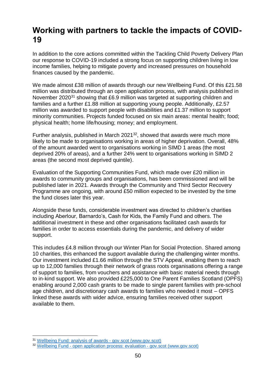# **Working with partners to tackle the impacts of COVID-19**

In addition to the core actions committed within the Tackling Child Poverty Delivery Plan our response to COVID-19 included a strong focus on supporting children living in low income families, helping to mitigate poverty and increased pressures on household finances caused by the pandemic.

We made almost £38 million of awards through our new Wellbeing Fund. Of this £21.58 million was distributed through an open application process, with analysis published in November 2020<sup>31</sup> showing that £6.9 million was targeted at supporting children and families and a further £1.88 million at supporting young people. Additionally, £2.57 million was awarded to support people with disabilities and £1.37 million to support minority communities. Projects funded focused on six main areas: mental health; food; physical health; home life/housing; money; and employment.

Further analysis, published in March 2021<sup>32</sup>, showed that awards were much more likely to be made to organisations working in areas of higher deprivation. Overall, 48% of the amount awarded went to organisations working in SIMD 1 areas (the most deprived 20% of areas), and a further 24% went to organisations working in SIMD 2 areas (the second most deprived quintile).

Evaluation of the Supporting Communities Fund, which made over £20 million in awards to community groups and organisations, has been commissioned and will be published later in 2021. Awards through the Community and Third Sector Recovery Programme are ongoing, with around £50 million expected to be invested by the time the fund closes later this year.

Alongside these funds, considerable investment was directed to children's charities including Aberlour, Barnardo's, Cash for Kids, the Family Fund and others. The additional investment in these and other organisations facilitated cash awards for families in order to access essentials during the pandemic, and delivery of wider support.

This includes £4.8 million through our Winter Plan for Social Protection. Shared among 10 charities, this enhanced the support available during the challenging winter months. Our investment included £1.66 million through the STV Appeal, enabling them to reach up to 12,000 families through their network of grass roots organisations offering a range of support to families, from vouchers and assistance with basic material needs through to in-kind support. We also provided £225,000 to One Parent Families Scotland (OPFS) enabling around 2,000 cash grants to be made to single parent families with pre-school age children, and discretionary cash awards to families who needed it most – OPFS linked these awards with wider advice, ensuring families received other support available to them.

<sup>1</sup> <sup>31</sup> [Wellbeing Fund: analysis of awards -](https://www.gov.scot/publications/wellbeing-fund-analysis-awards-made-through-open-application-process-small-grants-fund/pages/7/) gov.scot (www.gov.scot)

<sup>32</sup> Wellbeing Fund - [open application process: evaluation -](https://www.gov.scot/publications/evaluation-wellbeing-fund-open-application-process/pages/4/) gov.scot (www.gov.scot)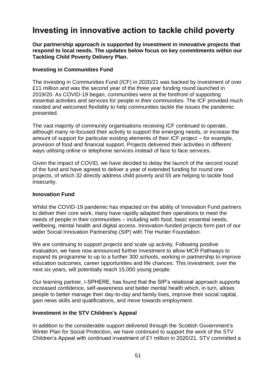# **Investing in innovative action to tackle child poverty**

**Our partnership approach is supported by investment in innovative projects that respond to local needs. The updates below focus on key commitments within our Tackling Child Poverty Delivery Plan.**

### **Investing in Communities Fund**

The Investing in Communities Fund (ICF) in 2020/21 was backed by investment of over £11 million and was the second year of the three year funding round launched in 2019/20. As COVID-19 began, communities were at the forefront of supporting essential activities and services for people in their communities. The ICF provided much needed and welcomed flexibility to help communities tackle the issues the pandemic presented.

The vast majority of community organisations receiving ICF continued to operate, although many re-focused their activity to support the emerging needs, or increase the amount of support for particular existing elements of their ICF project – for example, provision of food and financial support. Projects delivered their activities in different ways utilising online or telephone services instead of face to face services.

Given the impact of COVID, we have decided to delay the launch of the second round of the fund and have agreed to deliver a year of extended funding for round one projects, of which 32 directly address child poverty and 55 are helping to tackle food insecurity.

#### **Innovation Fund**

Whilst the COVID-19 pandemic has impacted on the ability of Innovation Fund partners to deliver their core work, many have rapidly adapted their operations to meet the needs of people in their communities – including with food, basic essential needs, wellbeing, mental health and digital access. Innovation-funded projects form part of our wider Social Innovation Partnership (SIP) with The Hunter Foundation.

We are continuing to support projects and scale up activity. Following positive evaluation, we have now announced further investment to allow MCR Pathways to expand its programme to up to a further 300 schools, working in partnership to improve education outcomes, career opportunities and life chances. This investment, over the next six years, will potentially reach 15,000 young people.

Our learning partner, I-SPHERE, has found that the SIP's relational approach supports increased confidence, self-awareness and better mental health which, in turn, allows people to better manage their day-to-day and family lives, improve their social capital, gain news skills and qualifications, and move towards employment.

#### **Investment in the STV Children's Appeal**

In addition to the considerable support delivered through the Scottish Government's Winter Plan for Social Protection, we have continued to support the work of the STV Children's Appeal with continued investment of £1 million in 2020/21. STV committed a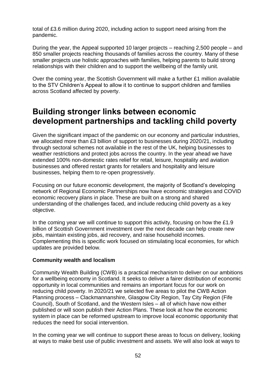total of £3.6 million during 2020, including action to support need arising from the pandemic.

During the year, the Appeal supported 10 larger projects – reaching 2,500 people – and 850 smaller projects reaching thousands of families across the country. Many of these smaller projects use holistic approaches with families, helping parents to build strong relationships with their children and to support the wellbeing of the family unit.

Over the coming year, the Scottish Government will make a further £1 million available to the STV Children's Appeal to allow it to continue to support children and families across Scotland affected by poverty.

# **Building stronger links between economic development partnerships and tackling child poverty**

Given the significant impact of the pandemic on our economy and particular industries, we allocated more than £3 billion of support to businesses during 2020/21, including through sectoral schemes not available in the rest of the UK, helping businesses to weather restrictions and protect jobs across the country. In the year ahead we have extended 100% non-domestic rates relief for retail, leisure, hospitality and aviation businesses and offered restart grants for retailers and hospitality and leisure businesses, helping them to re-open progressively.

Focusing on our future economic development, the majority of Scotland's developing network of Regional Economic Partnerships now have economic strategies and COVID economic recovery plans in place. These are built on a strong and shared understanding of the challenges faced, and include reducing child poverty as a key objective.

In the coming year we will continue to support this activity, focusing on how the £1.9 billion of Scottish Government investment over the next decade can help create new jobs, maintain existing jobs, aid recovery, and raise household incomes. Complementing this is specific work focused on stimulating local economies, for which updates are provided below.

#### **Community wealth and localism**

Community Wealth Building (CWB) is a practical mechanism to deliver on our ambitions for a wellbeing economy in Scotland. It seeks to deliver a fairer distribution of economic opportunity in local communities and remains an important focus for our work on reducing child poverty. In 2020/21 we selected five areas to pilot the CWB Action Planning process – Clackmannanshire, Glasgow City Region, Tay City Region (Fife Council), South of Scotland, and the Western Isles – all of which have now either published or will soon publish their Action Plans. These look at how the economic system in place can be reformed upstream to improve local economic opportunity that reduces the need for social intervention.

In the coming year we will continue to support these areas to focus on delivery, looking at ways to make best use of public investment and assets. We will also look at ways to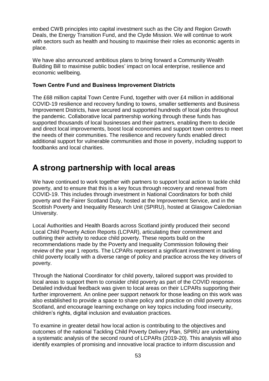embed CWB principles into capital investment such as the City and Region Growth Deals, the Energy Transition Fund, and the Clyde Mission. We will continue to work with sectors such as health and housing to maximise their roles as economic agents in place.

We have also announced ambitious plans to bring forward a Community Wealth Building Bill to maximise public bodies' impact on local enterprise, resilience and economic wellbeing.

### **Town Centre Fund and Business Improvement Districts**

The £68 million capital Town Centre Fund, together with over £4 million in additional COVID-19 resilience and recovery funding to towns, smaller settlements and Business Improvement Districts, have secured and supported hundreds of local jobs throughout the pandemic. Collaborative local partnership working through these funds has supported thousands of local businesses and their partners, enabling them to decide and direct local improvements, boost local economies and support town centres to meet the needs of their communities. The resilience and recovery funds enabled direct additional support for vulnerable communities and those in poverty, including support to foodbanks and local charities.

# **A strong partnership with local areas**

We have continued to work together with partners to support local action to tackle child poverty, and to ensure that this is a key focus through recovery and renewal from COVID-19. This includes through investment in National Coordinators for both child poverty and the Fairer Scotland Duty, hosted at the Improvement Service, and in the Scottish Poverty and Inequality Research Unit (SPIRU), hosted at Glasgow Caledonian University.

Local Authorities and Health Boards across Scotland jointly produced their second Local Child Poverty Action Reports (LCPAR), articulating their commitment and outlining their activity to reduce child poverty. These reports build on the recommendations made by the Poverty and Inequality Commission following their review of the year 1 reports. The LCPARs represent a significant investment in tackling child poverty locally with a diverse range of policy and practice across the key drivers of poverty.

Through the National Coordinator for child poverty, tailored support was provided to local areas to support them to consider child poverty as part of the COVID response. Detailed individual feedback was given to local areas on their LCPARs supporting their further improvement. An online peer support network for those leading on this work was also established to provide a space to share policy and practice on child poverty across Scotland, and encourage learning exchange on key topics including food insecurity, children's rights, digital inclusion and evaluation practices.

To examine in greater detail how local action is contributing to the objectives and outcomes of the national Tackling Child Poverty Delivery Plan, SPIRU are undertaking a systematic analysis of the second round of LCPARs (2019-20). This analysis will also identify examples of promising and innovative local practice to inform discussion and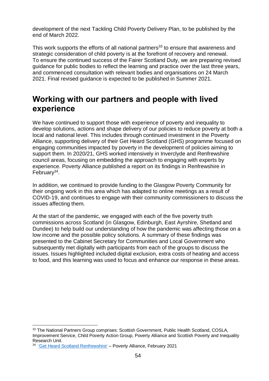development of the next Tackling Child Poverty Delivery Plan, to be published by the end of March 2022.

This work supports the efforts of all national partners<sup>33</sup> to ensure that awareness and strategic consideration of child poverty is at the forefront of recovery and renewal. To ensure the continued success of the Fairer Scotland Duty, we are preparing revised guidance for public bodies to reflect the learning and practice over the last three years, and commenced consultation with relevant bodies and organisations on 24 March 2021. Final revised guidance is expected to be published in Summer 2021.

# **Working with our partners and people with lived experience**

We have continued to support those with experience of poverty and inequality to develop solutions, actions and shape delivery of our policies to reduce poverty at both a local and national level. This includes through continued investment in the Poverty Alliance, supporting delivery of their Get Heard Scotland (GHS) programme focused on engaging communities impacted by poverty in the development of policies aiming to support them. In 2020/21, GHS worked intensively in Inverclyde and Renfrewshire council areas, focusing on embedding the approach to engaging with experts by experience. Poverty Alliance published a report on its findings in Renfrewshire in February<sup>34</sup>.

In addition, we continued to provide funding to the Glasgow Poverty Community for their ongoing work in this area which has adapted to online meetings as a result of COVID-19, and continues to engage with their community commissioners to discuss the issues affecting them.

At the start of the pandemic, we engaged with each of the five poverty truth commissions across Scotland (in Glasgow, Edinburgh, East Ayrshire, Shetland and Dundee) to help build our understanding of how the pandemic was affecting those on a low income and the possible policy solutions. A summary of these findings was presented to the Cabinet Secretary for Communities and Local Government who subsequently met digitally with participants from each of the groups to discuss the issues. Issues highlighted included digital exclusion, extra costs of heating and access to food, and this learning was used to focus and enhance our response in these areas.

<sup>&</sup>lt;u>.</u> <sup>33</sup> The National Partners Group comprises: Scottish Government, Public Health Scotland, COSLA, Improvement Service, Child Poverty Action Group, Poverty Alliance and Scottish Poverty and Inequality Research Unit.

<sup>34</sup> ['Get Heard Scotland Renfrewshire'](https://www.povertyalliance.org/wp-content/uploads/2021/02/Get-Heard-Scotland-Renfrewshire-February-2021.pdf) – Poverty Alliance, February 2021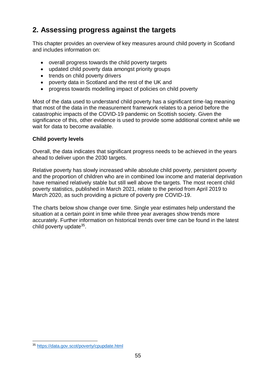# **2. Assessing progress against the targets**

This chapter provides an overview of key measures around child poverty in Scotland and includes information on:

- overall progress towards the child poverty targets
- updated child poverty data amongst priority groups
- trends on child poverty drivers
- poverty data in Scotland and the rest of the UK and
- progress towards modelling impact of policies on child poverty

Most of the data used to understand child poverty has a significant time-lag meaning that most of the data in the measurement framework relates to a period before the catastrophic impacts of the COVID-19 pandemic on Scottish society. Given the significance of this, other evidence is used to provide some additional context while we wait for data to become available.

### **Child poverty levels**

Overall, the data indicates that significant progress needs to be achieved in the years ahead to deliver upon the 2030 targets.

Relative poverty has slowly increased while absolute child poverty, persistent poverty and the proportion of children who are in combined low income and material deprivation have remained relatively stable but still well above the targets. The most recent child poverty statistics, published in March 2021, relate to the period from April 2019 to March 2020, as such providing a picture of poverty pre COVID-19.

The charts below show change over time. Single year estimates help understand the situation at a certain point in time while three year averages show trends more accurately. Further information on historical trends over time can be found in the latest child poverty update<sup>35</sup>.

<sup>1</sup> <sup>35</sup> <https://data.gov.scot/poverty/cpupdate.html>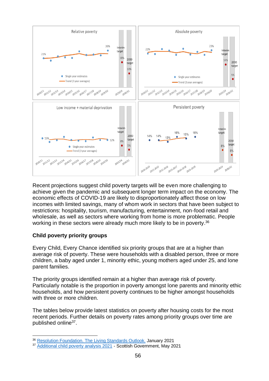

Recent projections suggest child poverty targets will be even more challenging to achieve given the pandemic and subsequent longer term impact on the economy. The economic effects of COVID-19 are likely to disproportionately affect those on low incomes with limited savings, many of whom work in sectors that have been subject to restrictions: hospitality, tourism, manufacturing, entertainment, non-food retail and wholesale, as well as sectors where working from home is more problematic. People working in these sectors were already much more likely to be in poverty.<sup>36</sup>

## **Child poverty priority groups**

Every Child, Every Chance identified six priority groups that are at a higher than average risk of poverty. These were households with a disabled person, three or more children, a baby aged under 1, minority ethic, young mothers aged under 25, and lone parent families.

The priority groups identified remain at a higher than average risk of poverty. Particularly notable is the proportion in poverty amongst lone parents and minority ethic households, and how persistent poverty continues to be higher amongst households with three or more children.

The tables below provide latest statistics on poverty after housing costs for the most recent periods. Further details on poverty rates among priority groups over time are published online<sup>37</sup>.

<sup>1</sup> <sup>36</sup> [Resolution Foundation. The Living Standards Outlook.](https://www.resolutionfoundation.org/app/uploads/2021/01/Living-standards-outlook-2021.pdf) January 2021

<sup>&</sup>lt;sup>37</sup> [Additional child poverty analysis 2021](https://www.gov.scot/publications/additional-child-poverty-analysis-2021/) - Scottish Government, May 2021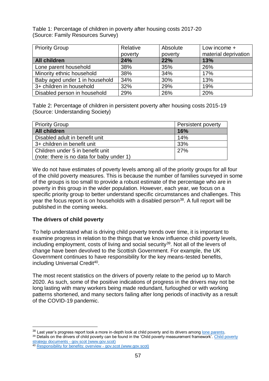Table 1: Percentage of children in poverty after housing costs 2017-20 (Source: Family Resources Survey)

| <b>Priority Group</b>          | Relative | Absolute | Low income +         |
|--------------------------------|----------|----------|----------------------|
|                                | poverty  | poverty  | material deprivation |
| <b>All children</b>            | 24%      | 22%      | 13%                  |
| Lone parent household          | 38%      | 35%      | 26%                  |
| Minority ethnic household      | 38%      | 34%      | 17%                  |
| Baby aged under 1 in household | 34%      | 30%      | 13%                  |
| 3+ children in household       | 32%      | 29%      | 19%                  |
| Disabled person in household   | 29%      | 26%      | 20%                  |

Table 2: Percentage of children in persistent poverty after housing costs 2015-19 (Source: Understanding Society)

| <b>Priority Group</b>                     | <b>Persistent poverty</b> |
|-------------------------------------------|---------------------------|
| <b>All children</b>                       | <b>16%</b>                |
| Disabled adult in benefit unit            | 14%                       |
| 3+ children in benefit unit               | 33%                       |
| Children under 5 in benefit unit          | 27%                       |
| (note: there is no data for baby under 1) |                           |

We do not have estimates of poverty levels among all of the priority groups for all four of the child poverty measures. This is because the number of families surveyed in some of the groups is too small to provide a robust estimate of the percentage who are in poverty in this group in the wider population. However, each year, we focus on a specific priority group to better understand specific circumstances and challenges. This year the focus report is on households with a disabled person<sup>38</sup>. A full report will be published in the coming weeks.

## **The drivers of child poverty**

To help understand what is driving child poverty trends over time, it is important to examine progress in relation to the things that we know influence child poverty levels, including employment, costs of living and social security<sup>39</sup>. Not all of the levers of change have been devolved to the Scottish Government. For example, the UK Government continues to have responsibility for the key means-tested benefits, including Universal Credit<sup>40</sup>.

The most recent statistics on the drivers of poverty relate to the period up to March 2020. As such, some of the positive indications of progress in the drivers may not be long lasting with many workers being made redundant, furloughed or with working patterns shortened, and many sectors failing after long periods of inactivity as a result of the COVID-19 pandemic.

<sup>39</sup> Details on the drivers of child poverty can be found in the 'Child poverty measurement framework'. Child poverty strategy documents - [gov.scot \(www.gov.scot\)](https://www.gov.scot/publications/child-poverty-strategy-documents/)

<sup>&</sup>lt;u>.</u> 38 Last year's progress report took a more in-depth look at child poverty and its drivers among [lone parents.](https://www.gov.scot/publications/tackling-child-poverty-delivery-plan-second-year-progress-report-2019-20-annex-c-child-poverty-lone-parent-families/)

<sup>40</sup> [Responsibility for benefits: overview -](https://www.gov.scot/publications/responsibility-for-benefits-overview/) gov.scot (www.gov.scot)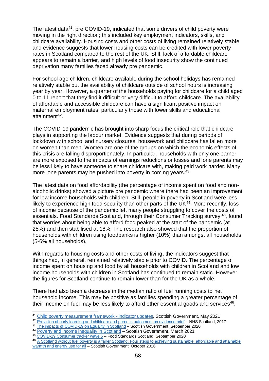The latest data<sup>41</sup>, pre COVID-19, indicated that some drivers of child poverty were moving in the right direction; this included key employment indicators, skills, and childcare availability. Housing costs and other costs of living remained relatively stable and evidence suggests that lower housing costs can be credited with lower poverty rates in Scotland compared to the rest of the UK. Still, lack of affordable childcare appears to remain a barrier, and high levels of food insecurity show the continued deprivation many families faced already pre pandemic.

For school age children, childcare available during the school holidays has remained relatively stable but the availability of childcare outside of school hours is increasing year by year. However, a quarter of the households paying for childcare for a child aged 0 to 11 report that they find it difficult or very difficult to afford childcare. The availability of affordable and accessible childcare can have a significant positive impact on maternal employment rates, particularly those with lower skills and educational attainment<sup>42</sup>.

The COVID-19 pandemic has brought into sharp focus the critical role that childcare plays in supporting the labour market. Evidence suggests that during periods of lockdown with school and nursery closures, housework and childcare has fallen more on women than men. Women are one of the groups on which the economic effects of this crisis are falling disproportionately. In particular, households with only one earner are more exposed to the impacts of earnings reductions or losses and lone parents may be less likely to have someone to share childcare with, making paid work harder. Many more lone parents may be pushed into poverty in coming years.<sup>43</sup>

The latest data on food affordability (the percentage of income spent on food and nonalcoholic drinks) showed a picture pre pandemic where there had been an improvement for low income households with children. Still, people in poverty in Scotland were less likely to experience high food security than other parts of the UK<sup>44</sup>. More recently, loss of income because of the pandemic left many people struggling to cover the costs of essentials. Food Standards Scotland, through their Consumer Tracking survey <sup>45</sup>, found that worries about being able to afford food peaked at the start of the pandemic (at 25%) and then stabilised at 18%. The research also showed that the proportion of households with children using foodbanks is higher (10%) than amongst all households (5-6% all households).

With regards to housing costs and other costs of living, the indicators suggest that things had, in general, remained relatively stable prior to COVID. The percentage of income spent on housing and food by all households with children in Scotland and low income households with children in Scotland has continued to remain static. However, the figures for Scotland continue to remain lower than for the UK as a whole.

There had also been a decrease in the median ratio of fuel running costs to net household income. This may be positive as families spending a greater percentage of their income on fuel may be less likely to afford other essential goods and services $46$ .

1

<sup>41</sup> [Child poverty measurement framework -](https://www.gov.scot/publications/additional-child-poverty-analysis-2021/) indicator updates, Scottish Government, May 2021

<sup>42</sup> [Provision of early learning and childcare and parent's outcomes: an evidence brief](http://www.healthscotland.scot/media/1786/provision-of-early-learning-and-childcare-and-parents-outcomes-an-evidence-brief.pdf) – NHS Scotland, 2017

<sup>43</sup> [The impacts of COVID-19](https://www.gov.scot/publications/the-impacts-of-covid-19-on-equality-in-scotland/) on Equality in Scotland – Scottish Government, September 2020

<sup>44</sup> [Poverty and income inequality in Scotland](https://data.gov.scot/poverty/) – Scottish Government, March 2021

<sup>45</sup> COVID-19 [Consumer tracker wave 5](https://www.foodstandards.gov.scot/downloads/FSS_Covid-19_Consumer_Tracker_-_Wave_5%2C_Sept_2020_-_Scottish_Results_Slides_-_FOR_PUBLISHING.pdf) – Food Standards Scotland, September 2020

<sup>46</sup> A Scotland without fuel poverty is a fairer Scotland: Four steps to achieving sustainable, affordable and attainable [warmth and energy use for all](https://www.gov.scot/binaries/content/documents/govscot/publications/progress-report/2016/10/scotland-without-fuel-poverty-fairer-scotland-four-steps-achieving-sustainable/documents/00508195-pdf/00508195-pdf/govscot%3Adocument/00508195.pdf) – Scottish Government, October 2016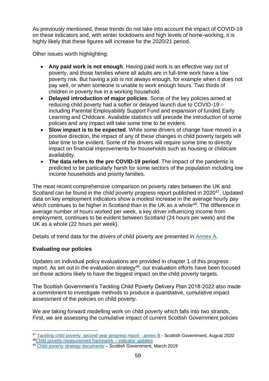As previously mentioned, these trends do not take into account the impact of COVID-19 on these indicators and, with winter lockdowns and high levels of home-working, it is highly likely that these figures will increase for the 2020/21 period.

Other issues worth highlighting:

- **Any paid work is not enough**. Having paid work is an effective way out of poverty, and those families where all adults are in full-time work have a low poverty risk. But having a job is not always enough, for example when it does not pay well, or when someone is unable to work enough hours. Two thirds of children in poverty live in a working household.
- **Delayed introduction of major policies**. Some of the key policies aimed at reducing child poverty had a softer or delayed launch due to COVID-19 – including Parental Employability Support Fund and expansion of funded Early Learning and Childcare. Available statistics still precede the introduction of some policies and any impact will take some time to be evident.
- **Slow impact is to be expected**. While some drivers of change have moved in a positive direction, the impact of any of these changes in child poverty targets will take time to be evident. Some of the drivers will require some time to directly impact on financial improvements for households such as housing or childcare availability.
- **The data refers to the pre COVID-19 period**. The impact of the pandemic is predicted to be particularly harsh for some sectors of the population including low income households and priority families.

The most recent comprehensive comparison on poverty rates between the UK and Scotland can be found in the child poverty progress report published in 2020<sup>47</sup>. Updated data on key employment indicators show a modest increase in the average hourly pay which continues to be higher in Scotland than in the UK as a whole<sup>48</sup>. The difference in average number of hours worked per week, a key driver influencing income from employment, continues to be evident between Scotland (24 hours per week) and the UK as a whole (22 hours per week).

Details of trend data for the drivers of child poverty are presented in [Annex A.](https://www.gov.scot/ISBN/978-1-80201-058-9)

# **Evaluating our policies**

Updates on individual policy evaluations are provided in chapter 1 of this progress report. As set out in the evaluation strategy<sup>49</sup>, our evaluation efforts have been focused on those actions likely to have the biggest impact on the child poverty targets.

The Scottish Government's Tackling Child Poverty Delivery Plan 2018-2022 also made a commitment to investigate methods to produce a quantitative, cumulative impact assessment of the policies on child poverty.

We are taking forward modelling work on child poverty which falls into two strands. First, we are assessing the cumulative impact of current Scottish Government policies

<sup>1</sup> <sup>47</sup> [Tackling child poverty: second year progress report -](https://www.gov.scot/publications/tackling-child-poverty-delivery-plan-second-year-progress-report-2019-20-annex-b-child-poverty-drivers-scotland-uk/) annex B - Scottish Government, August 2020 <sup>48</sup>[Child poverty measurement framework –](https://www.gov.scot/binaries/content/documents/govscot/publications/statistics/2021/05/additional-child-poverty-analysis-2021/documents/child-poverty-measurement-framework---indicator-updates/child-poverty-measurement-framework---indicator-updates/govscot%3Adocument/childpovertyindicators_tosend.xlsx) indicator updates

<sup>49</sup> [Child poverty strategy documents](https://www.gov.scot/publications/child-poverty-strategy-documents/) – Scottish Government, March 2019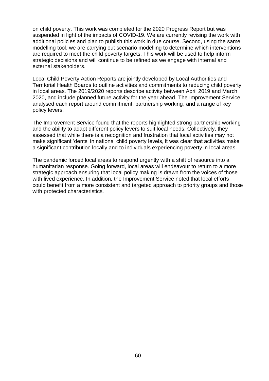on child poverty. This work was completed for the 2020 Progress Report but was suspended in light of the impacts of COVID-19. We are currently revising the work with additional policies and plan to publish this work in due course. Second, using the same modelling tool, we are carrying out scenario modelling to determine which interventions are required to meet the child poverty targets. This work will be used to help inform strategic decisions and will continue to be refined as we engage with internal and external stakeholders.

Local Child Poverty Action Reports are jointly developed by Local Authorities and Territorial Health Boards to outline activities and commitments to reducing child poverty in local areas. The 2019/2020 reports describe activity between April 2019 and March 2020, and include planned future activity for the year ahead. The Improvement Service analysed each report around commitment, partnership working, and a range of key policy levers.

The Improvement Service found that the reports highlighted strong partnership working and the ability to adapt different policy levers to suit local needs. Collectively, they assessed that while there is a recognition and frustration that local activities may not make significant 'dents' in national child poverty levels, it was clear that activities make a significant contribution locally and to individuals experiencing poverty in local areas.

The pandemic forced local areas to respond urgently with a shift of resource into a humanitarian response. Going forward, local areas will endeavour to return to a more strategic approach ensuring that local policy making is drawn from the voices of those with lived experience. In addition, the Improvement Service noted that local efforts could benefit from a more consistent and targeted approach to priority groups and those with protected characteristics.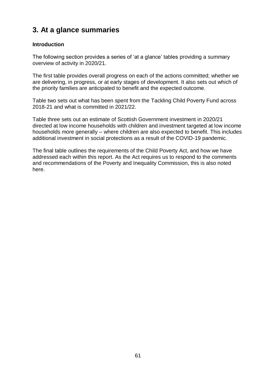# **3. At a glance summaries**

## **Introduction**

The following section provides a series of 'at a glance' tables providing a summary overview of activity in 2020/21.

The first table provides overall progress on each of the actions committed; whether we are delivering, in progress, or at early stages of development. It also sets out which of the priority families are anticipated to benefit and the expected outcome.

Table two sets out what has been spent from the Tackling Child Poverty Fund across 2018-21 and what is committed in 2021/22.

Table three sets out an estimate of Scottish Government investment in 2020/21 directed at low income households with children and investment targeted at low income households more generally – where children are also expected to benefit. This includes additional investment in social protections as a result of the COVID-19 pandemic.

The final table outlines the requirements of the Child Poverty Act, and how we have addressed each within this report. As the Act requires us to respond to the comments and recommendations of the Poverty and Inequality Commission, this is also noted here.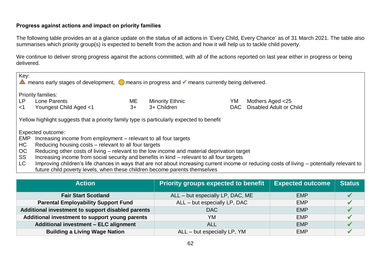## **Progress against actions and impact on priority families**

The following table provides an at a glance update on the status of all actions in 'Every Child, Every Chance' as of 31 March 2021. The table also summarises which priority group(s) is expected to benefit from the action and how it will help us to tackle child poverty.

We continue to deliver strong progress against the actions committed, with all of the actions reported on last year either in progress or being delivered.

| Key:<br>means early stages of development,<br>⊙ means in progress and<br>imeans currently being delivered. |                                                                                                                                                                                                                                                                                                                                                                                                                           |            |                                       |            |                                                                                                                                              |
|------------------------------------------------------------------------------------------------------------|---------------------------------------------------------------------------------------------------------------------------------------------------------------------------------------------------------------------------------------------------------------------------------------------------------------------------------------------------------------------------------------------------------------------------|------------|---------------------------------------|------------|----------------------------------------------------------------------------------------------------------------------------------------------|
| LP<br>$<$ 1                                                                                                | <b>Priority families:</b><br>Lone Parents<br>Youngest Child Aged <1                                                                                                                                                                                                                                                                                                                                                       | ME<br>$3+$ | <b>Minority Ethnic</b><br>3+ Children | YM<br>DAC. | Mothers Aged <25<br>Disabled Adult or Child                                                                                                  |
| Yellow highlight suggests that a priority family type is particularly expected to benefit                  |                                                                                                                                                                                                                                                                                                                                                                                                                           |            |                                       |            |                                                                                                                                              |
| EMP<br>HC<br>OC<br>SS<br>LC                                                                                | Expected outcome:<br>Increasing income from employment – relevant to all four targets<br>Reducing housing costs – relevant to all four targets<br>Reducing other costs of living – relevant to the low income and material deprivation target<br>Increasing income from social security and benefits in kind – relevant to all four targets<br>future child poverty levels, when these children become parents themselves |            |                                       |            | Improving children's life chances in ways that are not about increasing current income or reducing costs of living – potentially relevant to |

| <b>Action</b>                                     | <b>Priority groups expected to benefit</b> | <b>Expected outcome</b> | <b>Status</b> |
|---------------------------------------------------|--------------------------------------------|-------------------------|---------------|
| <b>Fair Start Scotland</b>                        | ALL - but especially LP, DAC, ME           | <b>EMP</b>              |               |
| <b>Parental Employability Support Fund</b>        | ALL - but especially LP, DAC               | <b>EMP</b>              |               |
| Additional investment to support disabled parents | DAC                                        | <b>EMP</b>              |               |
| Additional investment to support young parents    | YM                                         | <b>EMP</b>              |               |
| Additional investment - ELC alignment             | <b>ALL</b>                                 | <b>EMP</b>              |               |
| <b>Building a Living Wage Nation</b>              | ALL - but especially LP, YM                | <b>EMP</b>              |               |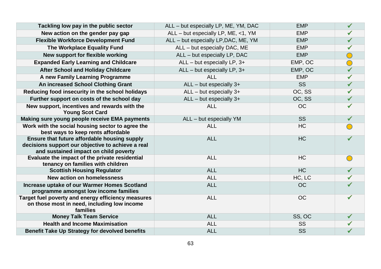| Tackling low pay in the public sector                                                                                                      | ALL - but especially LP, ME, YM, DAC | <b>EMP</b> | $\checkmark$ |
|--------------------------------------------------------------------------------------------------------------------------------------------|--------------------------------------|------------|--------------|
| New action on the gender pay gap                                                                                                           | ALL - but especially LP, ME, <1, YM  | <b>EMP</b> | $\checkmark$ |
| <b>Flexible Workforce Development Fund</b>                                                                                                 | ALL - but especially LP, DAC, ME, YM | <b>EMP</b> |              |
| The Workplace Equality Fund                                                                                                                | ALL - but especially DAC, ME         | <b>EMP</b> |              |
| New support for flexible working                                                                                                           | ALL - but especially LP, DAC         | <b>EMP</b> |              |
| <b>Expanded Early Learning and Childcare</b>                                                                                               | $ALL - but especially LP, 3+$        | EMP, OC    |              |
| <b>After School and Holiday Childcare</b>                                                                                                  | $ALL - but especially LP, 3+$        | EMP, OC    |              |
| A new Family Learning Programme                                                                                                            | <b>ALL</b>                           | <b>EMP</b> |              |
| An increased School Clothing Grant                                                                                                         | $ALL - but especially 3+$            | <b>SS</b>  | $\checkmark$ |
| Reducing food insecurity in the school holidays                                                                                            | $ALL - but especially 3+$            | OC, SS     | $\checkmark$ |
| Further support on costs of the school day                                                                                                 | $ALL - but especially 3+$            | OC, SS     |              |
| New support, incentives and rewards with the<br><b>Young Scot Card</b>                                                                     | <b>ALL</b>                           | <b>OC</b>  | $\checkmark$ |
| Making sure young people receive EMA payments                                                                                              | ALL - but especially YM              | SS         | $\checkmark$ |
| Work with the social housing sector to agree the<br>best ways to keep rents affordable                                                     | <b>ALL</b>                           | HC         |              |
| Ensure that future affordable housing supply<br>decisions support our objective to achieve a real<br>and sustained impact on child poverty | <b>ALL</b>                           | <b>HC</b>  |              |
| Evaluate the impact of the private residential<br>tenancy on families with children                                                        | <b>ALL</b>                           | <b>HC</b>  |              |
| <b>Scottish Housing Regulator</b>                                                                                                          | <b>ALL</b>                           | <b>HC</b>  |              |
| <b>New action on homelessness</b>                                                                                                          | <b>ALL</b>                           | HC, LC     | $\checkmark$ |
| Increase uptake of our Warmer Homes Scotland<br>programme amongst low income families                                                      | <b>ALL</b>                           | <b>OC</b>  |              |
| Target fuel poverty and energy efficiency measures<br>on those most in need, including low income<br>families                              | <b>ALL</b>                           | <b>OC</b>  | $\checkmark$ |
| <b>Money Talk Team Service</b>                                                                                                             | <b>ALL</b>                           | SS, OC     | $\checkmark$ |
| <b>Health and Income Maximisation</b>                                                                                                      | <b>ALL</b>                           | SS         |              |
| <b>Benefit Take Up Strategy for devolved benefits</b>                                                                                      | <b>ALL</b>                           | SS         |              |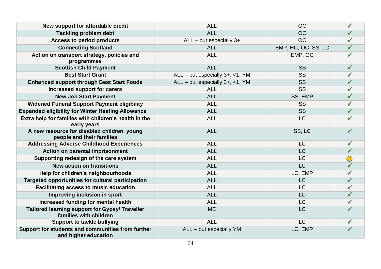| New support for affordable credit                                               | <b>ALL</b>                      | <b>OC</b>           |              |
|---------------------------------------------------------------------------------|---------------------------------|---------------------|--------------|
| <b>Tackling problem debt</b>                                                    | <b>ALL</b>                      | <b>OC</b>           |              |
| <b>Access to period products</b>                                                | $ALL - but especially 3+$       | <b>OC</b>           |              |
| <b>Connecting Scotland</b>                                                      | <b>ALL</b>                      | EMP, HC, OC, SS, LC | $\checkmark$ |
| Action on transport strategy, policies and<br>programmes                        | <b>ALL</b>                      | EMP, OC             |              |
| <b>Scottish Child Payment</b>                                                   | <b>ALL</b>                      | <b>SS</b>           |              |
| <b>Best Start Grant</b>                                                         | ALL - but especially 3+, <1, YM | <b>SS</b>           |              |
| <b>Enhanced support through Best Start Foods</b>                                | ALL - but especially 3+, <1, YM | <b>SS</b>           |              |
| Increased support for carers                                                    | <b>ALL</b>                      | <b>SS</b>           |              |
| <b>New Job Start Payment</b>                                                    | <b>ALL</b>                      | SS, EMP             |              |
| <b>Widened Funeral Support Payment eligibility</b>                              | <b>ALL</b>                      | <b>SS</b>           |              |
| <b>Expanded eligibility for Winter Heating Allowance</b>                        | <b>ALL</b>                      | <b>SS</b>           |              |
| Extra help for families with children's health in the<br>early years            | <b>ALL</b>                      | <b>LC</b>           |              |
| A new resource for disabled children, young<br>people and their families        | <b>ALL</b>                      | SS, LC              |              |
| <b>Addressing Adverse Childhood Experiences</b>                                 | <b>ALL</b>                      | <b>LC</b>           | $\checkmark$ |
| Action on parental imprisonment                                                 | <b>ALL</b>                      | <b>LC</b>           |              |
| Supporting redesign of the care system                                          | <b>ALL</b>                      | <b>LC</b>           |              |
| <b>New action on transitions</b>                                                | <b>ALL</b>                      | <b>LC</b>           |              |
| Help for children's neighbourhoods                                              | <b>ALL</b>                      | LC, EMP             |              |
| Targeted opportunities for cultural participation                               | <b>ALL</b>                      | <b>LC</b>           |              |
| <b>Facilitating access to music education</b>                                   | <b>ALL</b>                      | LC                  |              |
| Improving inclusion in sport                                                    | <b>ALL</b>                      | <b>LC</b>           |              |
| Increased funding for mental health                                             | <b>ALL</b>                      | <b>LC</b>           |              |
| <b>Tailored learning support for Gypsy/ Traveller</b><br>families with children | <b>ME</b>                       | <b>LC</b>           |              |
| <b>Support to tackle bullying</b>                                               | <b>ALL</b>                      | <b>LC</b>           |              |
| Support for students and communities from further<br>and higher education       | ALL - but especially YM         | LC, EMP             | $\checkmark$ |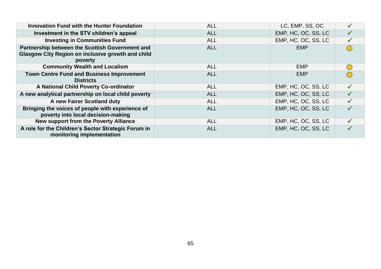| <b>Innovation Fund with the Hunter Foundation</b>                                                                      | <b>ALL</b> | LC, EMP, SS, OC     |  |
|------------------------------------------------------------------------------------------------------------------------|------------|---------------------|--|
| Investment in the STV children's appeal                                                                                | <b>ALL</b> | EMP, HC, OC, SS, LC |  |
| <b>Investing in Communities Fund</b>                                                                                   | <b>ALL</b> | EMP, HC, OC, SS, LC |  |
| Partnership between the Scottish Government and<br><b>Glasgow City Region on inclusive growth and child</b><br>poverty | <b>ALL</b> | <b>EMP</b>          |  |
| <b>Community Wealth and Localism</b>                                                                                   | <b>ALL</b> | <b>EMP</b>          |  |
| <b>Town Centre Fund and Business Improvement</b><br><b>Districts</b>                                                   | <b>ALL</b> | <b>EMP</b>          |  |
| A National Child Poverty Co-ordinator                                                                                  | <b>ALL</b> | EMP, HC, OC, SS, LC |  |
| A new analytical partnership on local child poverty                                                                    | <b>ALL</b> | EMP, HC, OC, SS, LC |  |
| A new Fairer Scotland duty                                                                                             | <b>ALL</b> | EMP, HC, OC, SS, LC |  |
| Bringing the voices of people with experience of<br>poverty into local decision-making                                 | <b>ALL</b> | EMP, HC, OC, SS, LC |  |
| <b>New support from the Poverty Alliance</b>                                                                           | <b>ALL</b> | EMP, HC, OC, SS, LC |  |
| A role for the Children's Sector Strategic Forum in<br>monitoring implementation                                       | <b>ALL</b> | EMP, HC, OC, SS, LC |  |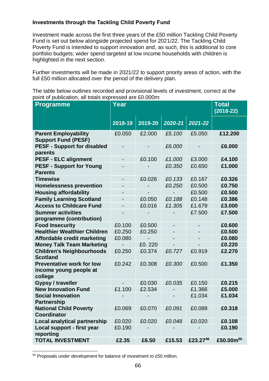## **Investments through the Tackling Child Poverty Fund**

Investment made across the first three years of the £50 million Tackling Child Poverty Fund is set out below alongside projected spend for 2021/22. The Tackling Child Poverty Fund is intended to support innovation and, as such, this is additional to core portfolio budgets; wider spend targeted at low income households with children is highlighted in the next section.

Further investments will be made in 2021/22 to support priority areas of action, with the full £50 million allocated over the period of the delivery plan.

The table below outlines recorded and provisional levels of investment, correct at the point of publication, all totals expressed are £0.000m:

| $5.1$ . $\sigma$ . $\sigma$<br><b>Programme</b>                       | Year                     |         |                          |          |                       |
|-----------------------------------------------------------------------|--------------------------|---------|--------------------------|----------|-----------------------|
|                                                                       | 2018-19                  | 2019-20 | 2020-21                  | 2021-22  |                       |
| <b>Parent Employability</b><br><b>Support Fund (PESF)</b>             | £0.050                   | £2.000  | £5.100                   | £5.050   | £12.200               |
| <b>PESF - Support for disabled</b><br>parents                         |                          |         | £6.000                   |          | £6.000                |
| <b>PESF - ELC alignment</b>                                           | $\overline{\phantom{a}}$ | £0.100  | £1.000                   | £3.000   | £4.100                |
| <b>PESF - Support for Young</b><br><b>Parents</b>                     |                          |         | £0.350                   | £0.650   | £1.000                |
| <b>Timewise</b>                                                       | -                        | £0.026  | £0.133                   | £0.167   | £0.326                |
| <b>Homelessness prevention</b>                                        | -                        |         | £0.250                   | £0.500   | £0.750                |
| <b>Housing affordability</b>                                          | $\overline{\phantom{a}}$ |         |                          | £0.500   | £0.500                |
| <b>Family Learning Scotland</b>                                       | $\overline{\phantom{0}}$ | £0.050  | £0.188                   | £0.148   | £0.386                |
| <b>Access to Childcare Fund</b>                                       | $\overline{\phantom{0}}$ | £0.016  | £1.305                   | £1.679   | £3.000                |
| <b>Summer activities</b><br>programme (contribution)                  |                          |         |                          | £7.500   | £7.500                |
| <b>Food Insecurity</b>                                                | £0.100                   | £0.500  | $\overline{\phantom{a}}$ |          | £0.600                |
| <b>Healthier Wealthier Children</b>                                   | £0.250                   | £0.250  |                          |          | £0.500                |
| Affordable credit marketing                                           | £0.080                   |         |                          |          | £0.080                |
| <b>Money Talk Team Marketing</b>                                      |                          | £0.220  |                          |          | £0.220                |
| <b>Children's Neighbourhoods</b><br><b>Scotland</b>                   | £0.250                   | £0.374  | £0.727                   | £0.919   | £2.270                |
| <b>Preventative work for low</b><br>income young people at<br>college | £0.242                   | £0.308  | £0.300                   | £0.500   | £1.350                |
| Gypsy / traveller                                                     | $\overline{\phantom{0}}$ | £0.030  | £0.035                   | £0.150   | £0.215                |
| <b>New Innovation Fund</b>                                            | £1.100                   | £2.534  |                          | £1.366   | £5.000                |
| <b>Social Innovation</b><br><b>Partnership</b>                        |                          |         |                          | £1.034   | £1.034                |
| <b>National Child Poverty</b><br><b>Coordinator</b>                   | £0.069                   | £0.070  | £0.091                   | £0.089   | £0.318                |
| <b>Local analytical partnership</b>                                   | £0.020                   | £0.020  | £0.048                   | £0.020   | £0.108                |
| Local support - first year<br>reporting                               | £0.190                   |         |                          |          | £0.190                |
| <b>TOTAL INVESTMENT</b>                                               | £2.35                    | £6.50   | £15.53                   | £23.2746 | £50.00m <sup>50</sup> |

1 <sup>50</sup> Proposals under development for balance of investment to £50 million.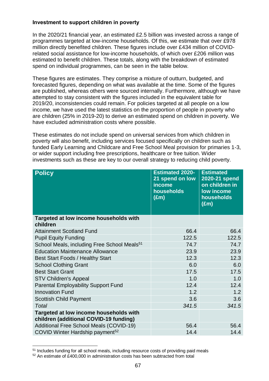### **Investment to support children in poverty**

In the 2020/21 financial year, an estimated £2.5 billion was invested across a range of programmes targeted at low-income households. Of this, we estimate that over £978 million directly benefited children. These figures include over £434 million of COVIDrelated social assistance for low-income households, of which over £206 million was estimated to benefit children. These totals, along with the breakdown of estimated spend on individual programmes, can be seen in the table below.

These figures are estimates. They comprise a mixture of outturn, budgeted, and forecasted figures, depending on what was available at the time. Some of the figures are published, whereas others were sourced internally. Furthermore, although we have attempted to stay consistent with the figures included in the equivalent table for 2019/20, inconsistencies could remain. For policies targeted at all people on a low income, we have used the latest statistics on the proportion of people in poverty who are children (25% in 2019-20) to derive an estimated spend on children in poverty. We have excluded administration costs where possible.

These estimates do not include spend on universal services from which children in poverty will also benefit, including services focused specifically on children such as funded Early Learning and Childcare and Free School Meal provision for primaries 1-3, or wider support including free prescriptions, healthcare or free tuition. Wider investments such as these are key to our overall strategy to reducing child poverty.

| <b>Policy</b>                                                                    | <b>Estimated 2020-</b><br>21 spend on low<br>income<br>households<br>$(\bar{E}m)$ | <b>Estimated</b><br>2020-21 spend<br>on children in<br>low income<br>households<br>$(\text{Em})$ |
|----------------------------------------------------------------------------------|-----------------------------------------------------------------------------------|--------------------------------------------------------------------------------------------------|
| Targeted at low income households with<br>children                               |                                                                                   |                                                                                                  |
| <b>Attainment Scotland Fund</b>                                                  | 66.4                                                                              | 66.4                                                                                             |
| <b>Pupil Equity Funding</b>                                                      | 122.5                                                                             | 122.5                                                                                            |
| School Meals, including Free School Meals <sup>51</sup>                          | 74.7                                                                              | 74.7                                                                                             |
| <b>Education Maintenance Allowance</b>                                           | 23.9                                                                              | 23.9                                                                                             |
| Best Start Foods / Healthy Start                                                 | 12.3                                                                              | 12.3                                                                                             |
| <b>School Clothing Grant</b>                                                     | 6.0                                                                               | 6.0                                                                                              |
| <b>Best Start Grant</b>                                                          | 17.5                                                                              | 17.5                                                                                             |
| <b>STV Children's Appeal</b>                                                     | 1.0                                                                               | 1.0                                                                                              |
| <b>Parental Employability Support Fund</b>                                       | 12.4                                                                              | 12.4                                                                                             |
| <b>Innovation Fund</b>                                                           | 1.2                                                                               | 1.2                                                                                              |
| <b>Scottish Child Payment</b>                                                    | 3.6                                                                               | 3.6                                                                                              |
| Total                                                                            | 341.5                                                                             | 341.5                                                                                            |
| Targeted at low income households with<br>children (additional COVID-19 funding) |                                                                                   |                                                                                                  |
| Additional Free School Meals (COVID-19)                                          | 56.4                                                                              | 56.4                                                                                             |
| COVID Winter Hardship payment <sup>52</sup>                                      | 14.4                                                                              | 14.4                                                                                             |

 $\overline{a}$ <sup>51</sup> Includes funding for all school meals, including resource costs of providing paid meals

<sup>52</sup> An estimate of £400,000 in administration costs has been subtracted from total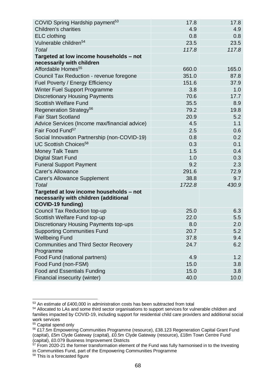| COVID Spring Hardship payment <sup>53</sup>                                      | 17.8   | 17.8  |
|----------------------------------------------------------------------------------|--------|-------|
| <b>Children's charities</b>                                                      | 4.9    | 4.9   |
| <b>ELC</b> clothing                                                              | 0.8    | 0.8   |
| Vulnerable children <sup>54</sup>                                                | 23.5   | 23.5  |
| Total                                                                            | 117.8  | 117.8 |
| Targeted at low income households - not                                          |        |       |
| necessarily with children                                                        |        |       |
| Affordable Homes <sup>55</sup>                                                   | 660.0  | 165.0 |
| Council Tax Reduction - revenue foregone                                         | 351.0  | 87.8  |
| Fuel Poverty / Energy Efficiency                                                 | 151.6  | 37.9  |
| <b>Winter Fuel Support Programme</b>                                             | 3.8    | 1.0   |
| <b>Discretionary Housing Payments</b>                                            | 70.6   | 17.7  |
| <b>Scottish Welfare Fund</b>                                                     | 35.5   | 8.9   |
| Regeneration Strategy <sup>56</sup>                                              | 79.2   | 19.8  |
| <b>Fair Start Scotland</b>                                                       | 20.9   | 5.2   |
| Advice Services (Income max/financial advice)                                    | 4.5    | 1.1   |
| Fair Food Fund <sup>57</sup>                                                     | 2.5    | 0.6   |
| Social Innovation Partnership (non-COVID-19)                                     | 0.8    | 0.2   |
| UC Scottish Choices <sup>58</sup>                                                | 0.3    | 0.1   |
| Money Talk Team                                                                  | 1.5    | 0.4   |
| <b>Digital Start Fund</b>                                                        | 1.0    | 0.3   |
| <b>Funeral Support Payment</b>                                                   | 9.2    | 2.3   |
| <b>Carer's Allowance</b>                                                         | 291.6  | 72.9  |
| <b>Carer's Allowance Supplement</b>                                              | 38.8   | 9.7   |
| Total                                                                            | 1722.8 | 430.9 |
| Targeted at low income households - not<br>necessarily with children (additional |        |       |
| COVID-19 funding)                                                                |        |       |
| <b>Council Tax Reduction top-up</b>                                              | 25.0   | 6.3   |
| Scottish Welfare Fund top-up                                                     | 22.0   | 5.5   |
| Discretionary Housing Payments top-ups                                           | 8.0    | 2.0   |
| <b>Supporting Communities Fund</b>                                               | 20.7   | 5.2   |
| <b>Wellbeing Fund</b>                                                            | 37.8   | 9.4   |
| <b>Communities and Third Sector Recovery</b><br>Programme                        | 24.7   | 6.2   |
| Food Fund (national partners)                                                    | 4.9    | 1.2   |
| Food Fund (non-FSM)                                                              | 15.0   | 3.8   |
| <b>Food and Essentials Funding</b>                                               | 15.0   | 3.8   |
| Financial insecurity (winter)                                                    | 40.0   | 10.0  |

 $\overline{a}$ <sup>53</sup> An estimate of £400,000 in administration costs has been subtracted from total

<sup>54</sup> Allocated to LAs and some third sector organisations to support services for vulnerable children and families impacted by COVID-19, including support for residential child care providers and additional social work services

<sup>55</sup> Capital spend only

<sup>56</sup> £17.5m Empowering Communities Programme (resource), £38.123 Regeneration Capital Grant Fund (capital), £5m Clyde Gateway (capital), £0.5m Clyde Gateway (resource), £18m Town Centre Fund (capital), £0.079 Business Improvement Districts

 $57$  From 2020-21 the former transformation element of the Fund was fully harmonised in to the Investing in Communities Fund, part of the Empowering Communities Programme

<sup>58</sup> This is a forecasted figure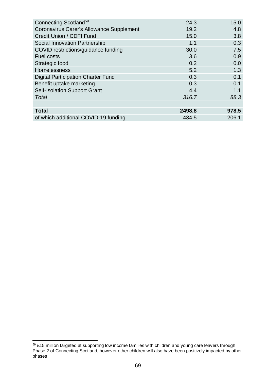| Connecting Scotland <sup>59</sup>               | 24.3   | 15.0  |
|-------------------------------------------------|--------|-------|
| <b>Coronavirus Carer's Allowance Supplement</b> | 19.2   | 4.8   |
| Credit Union / CDFI Fund                        | 15.0   | 3.8   |
| Social Innovation Partnership                   | 1.1    | 0.3   |
| COVID restrictions/guidance funding             | 30.0   | 7.5   |
| <b>Fuel costs</b>                               | 3.6    | 0.9   |
| Strategic food                                  | 0.2    | 0.0   |
| Homelessness                                    | 5.2    | 1.3   |
| <b>Digital Participation Charter Fund</b>       | 0.3    | 0.1   |
| Benefit uptake marketing                        | 0.3    | 0.1   |
| <b>Self-Isolation Support Grant</b>             | 4.4    | 1.1   |
| Total                                           | 316.7  | 88.3  |
|                                                 |        |       |
| <b>Total</b>                                    | 2498.8 | 978.5 |
| of which additional COVID-19 funding            | 434.5  | 206.1 |

<sup>1</sup>  $59$  £15 million targeted at supporting low income families with children and young care leavers through Phase 2 of Connecting Scotland, however other children will also have been positively impacted by other phases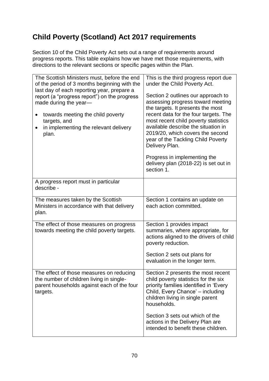# **Child Poverty (Scotland) Act 2017 requirements**

Section 10 of the Child Poverty Act sets out a range of requirements around progress reports. This table explains how we have met those requirements, with directions to the relevant sections or specific pages within the Plan.

| The Scottish Ministers must, before the end<br>of the period of 3 months beginning with the<br>last day of each reporting year, prepare a<br>report (a "progress report") on the progress<br>made during the year-<br>towards meeting the child poverty<br>targets, and<br>in implementing the relevant delivery<br>plan. | This is the third progress report due<br>under the Child Poverty Act.<br>Section 2 outlines our approach to<br>assessing progress toward meeting<br>the targets. It presents the most<br>recent data for the four targets. The<br>most recent child poverty statistics<br>available describe the situation in<br>2019/20, which covers the second<br>year of the Tackling Child Poverty<br>Delivery Plan.<br>Progress in implementing the<br>delivery plan (2018-22) is set out in<br>section 1. |
|---------------------------------------------------------------------------------------------------------------------------------------------------------------------------------------------------------------------------------------------------------------------------------------------------------------------------|--------------------------------------------------------------------------------------------------------------------------------------------------------------------------------------------------------------------------------------------------------------------------------------------------------------------------------------------------------------------------------------------------------------------------------------------------------------------------------------------------|
| A progress report must in particular                                                                                                                                                                                                                                                                                      |                                                                                                                                                                                                                                                                                                                                                                                                                                                                                                  |
| describe -                                                                                                                                                                                                                                                                                                                |                                                                                                                                                                                                                                                                                                                                                                                                                                                                                                  |
| The measures taken by the Scottish<br>Ministers in accordance with that delivery<br>plan.                                                                                                                                                                                                                                 | Section 1 contains an update on<br>each action committed.                                                                                                                                                                                                                                                                                                                                                                                                                                        |
| The effect of those measures on progress<br>towards meeting the child poverty targets.                                                                                                                                                                                                                                    | Section 1 provides impact<br>summaries, where appropriate, for<br>actions aligned to the drivers of child<br>poverty reduction.<br>Section 2 sets out plans for<br>evaluation in the longer term.                                                                                                                                                                                                                                                                                                |
| The effect of those measures on reducing<br>the number of children living in single-<br>parent households against each of the four<br>targets.                                                                                                                                                                            | Section 2 presents the most recent<br>child poverty statistics for the six<br>priority families identified in 'Every<br>Child, Every Chance' - including<br>children living in single parent<br>households.<br>Section 3 sets out which of the<br>actions in the Delivery Plan are<br>intended to benefit these children.                                                                                                                                                                        |
|                                                                                                                                                                                                                                                                                                                           |                                                                                                                                                                                                                                                                                                                                                                                                                                                                                                  |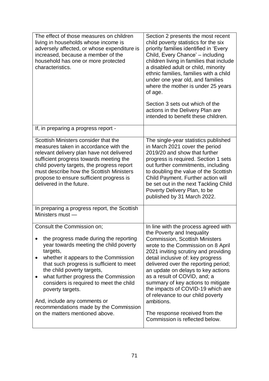| The effect of those measures on children<br>living in households whose income is<br>adversely affected, or whose expenditure is<br>increased, because a member of the<br>household has one or more protected<br>characteristics.                                                                                                                                                                                                                                              | Section 2 presents the most recent<br>child poverty statistics for the six<br>priority families identified in 'Every<br>Child, Every Chance' - including<br>children living in families that include<br>a disabled adult or child, minority<br>ethnic families, families with a child<br>under one year old, and families<br>where the mother is under 25 years<br>of age.<br>Section 3 sets out which of the                                                                                                                                  |
|-------------------------------------------------------------------------------------------------------------------------------------------------------------------------------------------------------------------------------------------------------------------------------------------------------------------------------------------------------------------------------------------------------------------------------------------------------------------------------|------------------------------------------------------------------------------------------------------------------------------------------------------------------------------------------------------------------------------------------------------------------------------------------------------------------------------------------------------------------------------------------------------------------------------------------------------------------------------------------------------------------------------------------------|
|                                                                                                                                                                                                                                                                                                                                                                                                                                                                               | actions in the Delivery Plan are<br>intended to benefit these children.                                                                                                                                                                                                                                                                                                                                                                                                                                                                        |
| If, in preparing a progress report -                                                                                                                                                                                                                                                                                                                                                                                                                                          |                                                                                                                                                                                                                                                                                                                                                                                                                                                                                                                                                |
| Scottish Ministers consider that the<br>measures taken in accordance with the<br>relevant delivery plan have not delivered<br>sufficient progress towards meeting the<br>child poverty targets, the progress report<br>must describe how the Scottish Ministers<br>propose to ensure sufficient progress is<br>delivered in the future.                                                                                                                                       | The single-year statistics published<br>in March 2021 cover the period<br>2019/20 and show that further<br>progress is required. Section 1 sets<br>out further commitments, including<br>to doubling the value of the Scottish<br>Child Payment. Further action will<br>be set out in the next Tackling Child<br>Poverty Delivery Plan, to be<br>published by 31 March 2022.                                                                                                                                                                   |
| In preparing a progress report, the Scottish<br>Ministers must -                                                                                                                                                                                                                                                                                                                                                                                                              |                                                                                                                                                                                                                                                                                                                                                                                                                                                                                                                                                |
| Consult the Commission on;<br>the progress made during the reporting<br>year towards meeting the child poverty<br>targets,<br>whether it appears to the Commission<br>that such progress is sufficient to meet<br>the child poverty targets,<br>what further progress the Commission<br>$\bullet$<br>considers is required to meet the child<br>poverty targets.<br>And, include any comments or<br>recommendations made by the Commission<br>on the matters mentioned above. | In line with the process agreed with<br>the Poverty and Inequality<br><b>Commission, Scottish Ministers</b><br>wrote to the Commission on 8 April<br>2021 inviting scrutiny and providing<br>detail inclusive of: key progress<br>delivered over the reporting period;<br>an update on delays to key actions<br>as a result of COVID, and; a<br>summary of key actions to mitigate<br>the impacts of COVID-19 which are<br>of relevance to our child poverty<br>ambitions.<br>The response received from the<br>Commission is reflected below. |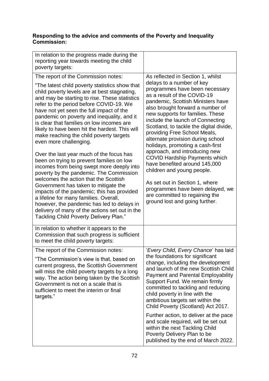# **Responding to the advice and comments of the Poverty and Inequality Commission:**

| In relation to the progress made during the<br>reporting year towards meeting the child<br>poverty targets:                                                                                                                                                                                                                                                                                                                                                                                                                                                                                                                                                                                                                                                                                                                                                                                                                                                                                         |                                                                                                                                                                                                                                                                                                                                                                                                                                                                                                                                                                                                                                                                                                                        |
|-----------------------------------------------------------------------------------------------------------------------------------------------------------------------------------------------------------------------------------------------------------------------------------------------------------------------------------------------------------------------------------------------------------------------------------------------------------------------------------------------------------------------------------------------------------------------------------------------------------------------------------------------------------------------------------------------------------------------------------------------------------------------------------------------------------------------------------------------------------------------------------------------------------------------------------------------------------------------------------------------------|------------------------------------------------------------------------------------------------------------------------------------------------------------------------------------------------------------------------------------------------------------------------------------------------------------------------------------------------------------------------------------------------------------------------------------------------------------------------------------------------------------------------------------------------------------------------------------------------------------------------------------------------------------------------------------------------------------------------|
| The report of the Commission notes:<br>"The latest child poverty statistics show that<br>child poverty levels are at best stagnating,<br>and may be starting to rise. These statistics<br>refer to the period before COVID-19. We<br>have not yet seen the full impact of the<br>pandemic on poverty and inequality, and it<br>is clear that families on low incomes are<br>likely to have been hit the hardest. This will<br>make reaching the child poverty targets<br>even more challenging.<br>Over the last year much of the focus has<br>been on trying to prevent families on low<br>incomes from being swept more deeply into<br>poverty by the pandemic. The Commission<br>welcomes the action that the Scottish<br>Government has taken to mitigate the<br>impacts of the pandemic; this has provided<br>a lifeline for many families. Overall,<br>however, the pandemic has led to delays in<br>delivery of many of the actions set out in the<br>Tackling Child Poverty Delivery Plan." | As reflected in Section 1, whilst<br>delays to a number of key<br>programmes have been necessary<br>as a result of the COVID-19<br>pandemic, Scottish Ministers have<br>also brought forward a number of<br>new supports for families. These<br>include the launch of Connecting<br>Scotland, to tackle the digital divide,<br>providing Free School Meals,<br>alternate provision during school<br>holidays, promoting a cash-first<br>approach, and introducing new<br><b>COVID Hardship Payments which</b><br>have benefited around 145,000<br>children and young people.<br>As set out in Section 1, where<br>programmes have been delayed, we<br>are committed to regaining the<br>ground lost and going further. |
| In relation to whether it appears to the<br>Commission that such progress is sufficient<br>to meet the child poverty targets:                                                                                                                                                                                                                                                                                                                                                                                                                                                                                                                                                                                                                                                                                                                                                                                                                                                                       |                                                                                                                                                                                                                                                                                                                                                                                                                                                                                                                                                                                                                                                                                                                        |
| The report of the Commission notes:<br>"The Commission's view is that, based on<br>current progress, the Scottish Government<br>will miss the child poverty targets by a long<br>way. The action being taken by the Scottish<br>Government is not on a scale that is<br>sufficient to meet the interim or final<br>targets."                                                                                                                                                                                                                                                                                                                                                                                                                                                                                                                                                                                                                                                                        | 'Every Child, Every Chance' has laid<br>the foundations for significant<br>change, including the development<br>and launch of the new Scottish Child<br><b>Payment and Parental Employability</b><br>Support Fund. We remain firmly<br>committed to tackling and reducing<br>child poverty in line with the<br>ambitious targets set within the<br>Child Poverty (Scotland) Act 2017.<br>Further action, to deliver at the pace<br>and scale required, will be set out<br>within the next Tackling Child<br>Poverty Delivery Plan to be<br>published by the end of March 2022.                                                                                                                                         |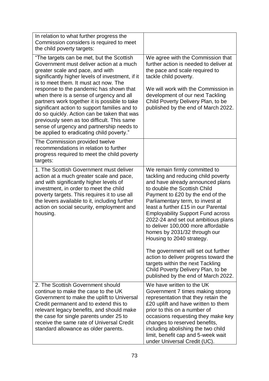| In relation to what further progress the<br>Commission considers is required to meet<br>the child poverty targets:                                                                                                                                                                                                                                                                                                                                                                                                                                                                                      |                                                                                                                                                                                                                                                                                                                                                                                                                                                                                                                                                                                                         |
|---------------------------------------------------------------------------------------------------------------------------------------------------------------------------------------------------------------------------------------------------------------------------------------------------------------------------------------------------------------------------------------------------------------------------------------------------------------------------------------------------------------------------------------------------------------------------------------------------------|---------------------------------------------------------------------------------------------------------------------------------------------------------------------------------------------------------------------------------------------------------------------------------------------------------------------------------------------------------------------------------------------------------------------------------------------------------------------------------------------------------------------------------------------------------------------------------------------------------|
| "The targets can be met, but the Scottish<br>Government must deliver action at a much<br>greater scale and pace, and with<br>significantly higher levels of investment, if it<br>is to meet them. It must act now. The<br>response to the pandemic has shown that<br>when there is a sense of urgency and all<br>partners work together it is possible to take<br>significant action to support families and to<br>do so quickly. Action can be taken that was<br>previously seen as too difficult. This same<br>sense of urgency and partnership needs to<br>be applied to eradicating child poverty." | We agree with the Commission that<br>further action is needed to deliver at<br>the pace and scale required to<br>tackle child poverty.<br>We will work with the Commission in<br>development of our next Tackling<br>Child Poverty Delivery Plan, to be<br>published by the end of March 2022.                                                                                                                                                                                                                                                                                                          |
| The Commission provided twelve<br>recommendations in relation to further<br>progress required to meet the child poverty<br>targets:                                                                                                                                                                                                                                                                                                                                                                                                                                                                     |                                                                                                                                                                                                                                                                                                                                                                                                                                                                                                                                                                                                         |
| 1. The Scottish Government must deliver<br>action at a much greater scale and pace,<br>and with significantly higher levels of<br>investment, in order to meet the child<br>poverty targets. This requires it to use all<br>the levers available to it, including further<br>action on social security, employment and<br>housing.                                                                                                                                                                                                                                                                      | We remain firmly committed to<br>tackling and reducing child poverty<br>and have already announced plans<br>to double the Scottish Child<br>Payment to £20 by the end of the<br>Parliamentary term, to invest at<br>least a further £15 in our Parental<br><b>Employability Support Fund across</b><br>2022-24 and set out ambitious plans<br>to deliver 100,000 more affordable<br>homes by 2031/32 through our<br>Housing to 2040 strategy.<br>The government will set out further<br>action to deliver progress toward the<br>targets within the next Tackling<br>Child Poverty Delivery Plan, to be |
|                                                                                                                                                                                                                                                                                                                                                                                                                                                                                                                                                                                                         | published by the end of March 2022.                                                                                                                                                                                                                                                                                                                                                                                                                                                                                                                                                                     |
| 2. The Scottish Government should<br>continue to make the case to the UK<br>Government to make the uplift to Universal<br>Credit permanent and to extend this to<br>relevant legacy benefits, and should make<br>the case for single parents under 25 to<br>receive the same rate of Universal Credit<br>standard allowance as older parents.                                                                                                                                                                                                                                                           | We have written to the UK<br>Government 7 times making strong<br>representation that they retain the<br>£20 uplift and have written to them<br>prior to this on a number of<br>occasions requesting they make key<br>changes to reserved benefits,<br>including abolishing the two child<br>limit, benefit cap and 5-week wait<br>under Universal Credit (UC).                                                                                                                                                                                                                                          |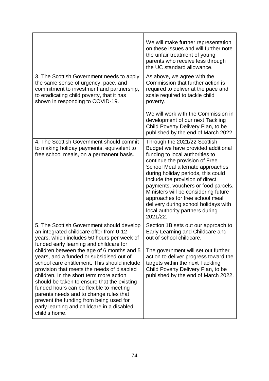|                                                                                                                                                                                                                                                                                                                                                                                                                                                                                                                                                                                                                                                                | We will make further representation<br>on these issues and will further note<br>the unfair treatment of young<br>parents who receive less through<br>the UC standard allowance.                                                                                                                                                                                                                                                                               |
|----------------------------------------------------------------------------------------------------------------------------------------------------------------------------------------------------------------------------------------------------------------------------------------------------------------------------------------------------------------------------------------------------------------------------------------------------------------------------------------------------------------------------------------------------------------------------------------------------------------------------------------------------------------|---------------------------------------------------------------------------------------------------------------------------------------------------------------------------------------------------------------------------------------------------------------------------------------------------------------------------------------------------------------------------------------------------------------------------------------------------------------|
| 3. The Scottish Government needs to apply<br>the same sense of urgency, pace, and<br>commitment to investment and partnership,<br>to eradicating child poverty, that it has<br>shown in responding to COVID-19.                                                                                                                                                                                                                                                                                                                                                                                                                                                | As above, we agree with the<br>Commission that further action is<br>required to deliver at the pace and<br>scale required to tackle child<br>poverty.                                                                                                                                                                                                                                                                                                         |
|                                                                                                                                                                                                                                                                                                                                                                                                                                                                                                                                                                                                                                                                | We will work with the Commission in<br>development of our next Tackling<br>Child Poverty Delivery Plan, to be<br>published by the end of March 2022.                                                                                                                                                                                                                                                                                                          |
| 4. The Scottish Government should commit<br>to making holiday payments, equivalent to<br>free school meals, on a permanent basis.                                                                                                                                                                                                                                                                                                                                                                                                                                                                                                                              | Through the 2021/22 Scottish<br>Budget we have provided additional<br>funding to local authorities to<br>continue the provision of Free<br>School Meal alternate approaches<br>during holiday periods, this could<br>include the provision of direct<br>payments, vouchers or food parcels.<br>Ministers will be considering future<br>approaches for free school meal<br>delivery during school holidays with<br>local authority partners during<br>2021/22. |
| 5. The Scottish Government should develop<br>an integrated childcare offer from 0-12<br>years, which includes 50 hours per week of<br>funded early learning and childcare for<br>children between the age of 6 months and 5<br>years, and a funded or subsidised out of<br>school care entitlement. This should include<br>provision that meets the needs of disabled<br>children. In the short term more action<br>should be taken to ensure that the existing<br>funded hours can be flexible to meeting<br>parents needs and to change rules that<br>prevent the funding from being used for<br>early learning and childcare in a disabled<br>child's home. | Section 1B sets out our approach to<br>Early Learning and Childcare and<br>out of school childcare.<br>The government will set out further<br>action to deliver progress toward the<br>targets within the next Tackling<br>Child Poverty Delivery Plan, to be<br>published by the end of March 2022.                                                                                                                                                          |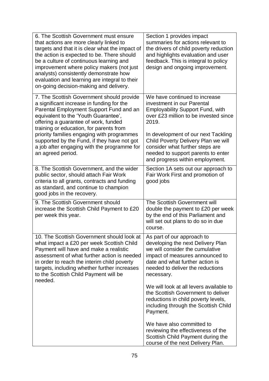| 6. The Scottish Government must ensure<br>that actions are more clearly linked to<br>targets and that it is clear what the impact of<br>the action is expected to be. There should<br>be a culture of continuous learning and<br>improvement where policy makers (not just<br>analysts) consistently demonstrate how<br>evaluation and learning are integral to their<br>on-going decision-making and delivery. | Section 1 provides impact<br>summaries for actions relevant to<br>the drivers of child poverty reduction<br>and highlights evaluation and user<br>feedback. This is integral to policy<br>design and ongoing improvement.  |
|-----------------------------------------------------------------------------------------------------------------------------------------------------------------------------------------------------------------------------------------------------------------------------------------------------------------------------------------------------------------------------------------------------------------|----------------------------------------------------------------------------------------------------------------------------------------------------------------------------------------------------------------------------|
| 7. The Scottish Government should provide<br>a significant increase in funding for the<br>Parental Employment Support Fund and an<br>equivalent to the 'Youth Guarantee',<br>offering a guarantee of work, funded<br>training or education, for parents from                                                                                                                                                    | We have continued to increase<br>investment in our Parental<br><b>Employability Support Fund, with</b><br>over £23 million to be invested since<br>2019.                                                                   |
| priority families engaging with programmes<br>supported by the Fund, if they have not got<br>a job after engaging with the programme for<br>an agreed period.                                                                                                                                                                                                                                                   | In development of our next Tackling<br>Child Poverty Delivery Plan we will<br>consider what further steps are<br>needed to support parents to enter<br>and progress within employment.                                     |
| 8. The Scottish Government, and the wider<br>public sector, should attach Fair Work<br>criteria to all grants, contracts and funding<br>as standard, and continue to champion<br>good jobs in the recovery.                                                                                                                                                                                                     | Section 1A sets out our approach to<br>Fair Work First and promotion of<br>good jobs                                                                                                                                       |
| 9. The Scottish Government should<br>increase the Scottish Child Payment to £20<br>per week this year.                                                                                                                                                                                                                                                                                                          | The Scottish Government will<br>double the payment to £20 per week<br>by the end of this Parliament and<br>will set out plans to do so in due<br>course.                                                                   |
| 10. The Scottish Government should look at<br>what impact a £20 per week Scottish Child<br>Payment will have and make a realistic<br>assessment of what further action is needed<br>in order to reach the interim child poverty<br>targets, including whether further increases<br>to the Scottish Child Payment will be<br>needed.                                                                             | As part of our approach to<br>developing the next Delivery Plan<br>we will consider the cumulative<br>impact of measures announced to<br>date and what further action is<br>needed to deliver the reductions<br>necessary. |
|                                                                                                                                                                                                                                                                                                                                                                                                                 | We will look at all levers available to<br>the Scottish Government to deliver<br>reductions in child poverty levels,<br>including through the Scottish Child<br>Payment.                                                   |
|                                                                                                                                                                                                                                                                                                                                                                                                                 | We have also committed to<br>reviewing the effectiveness of the<br>Scottish Child Payment during the<br>course of the next Delivery Plan.                                                                                  |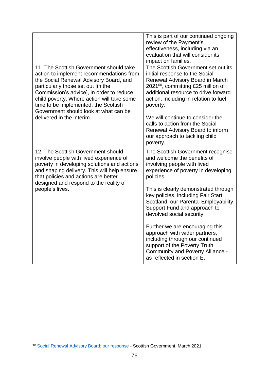|                                                                                                                                                                                                                                                                                                                                                | This is part of our continued ongoing<br>review of the Payment's<br>effectiveness, including via an<br>evaluation that will consider its<br>impact on families.                                                                                         |
|------------------------------------------------------------------------------------------------------------------------------------------------------------------------------------------------------------------------------------------------------------------------------------------------------------------------------------------------|---------------------------------------------------------------------------------------------------------------------------------------------------------------------------------------------------------------------------------------------------------|
| 11. The Scottish Government should take<br>action to implement recommendations from<br>the Social Renewal Advisory Board, and<br>particularly those set out [in the<br>Commission's advice], in order to reduce<br>child poverty. Where action will take some<br>time to be implemented, the Scottish<br>Government should look at what can be | The Scottish Government set out its<br>initial response to the Social<br>Renewal Advisory Board in March<br>2021 <sup>60</sup> , committing £25 million of<br>additional resource to drive forward<br>action, including in relation to fuel<br>poverty. |
| delivered in the interim.                                                                                                                                                                                                                                                                                                                      | We will continue to consider the<br>calls to action from the Social<br>Renewal Advisory Board to inform<br>our approach to tackling child<br>poverty.                                                                                                   |
| 12. The Scottish Government should<br>involve people with lived experience of<br>poverty in developing solutions and actions<br>and shaping delivery. This will help ensure<br>that policies and actions are better<br>designed and respond to the reality of                                                                                  | The Scottish Government recognise<br>and welcome the benefits of<br>involving people with lived<br>experience of poverty in developing<br>policies.                                                                                                     |
| people's lives.                                                                                                                                                                                                                                                                                                                                | This is clearly demonstrated through<br>key policies, including Fair Start<br>Scotland, our Parental Employability<br>Support Fund and approach to<br>devolved social security.                                                                         |
|                                                                                                                                                                                                                                                                                                                                                | Further we are encouraging this<br>approach with wider partners,<br>including through our continued<br>support of the Poverty Truth<br><b>Community and Poverty Alliance -</b><br>as reflected in section E.                                            |

<sup>1</sup> <sup>60</sup> [Social Renewal Advisory Board: our response](https://www.gov.scot/publications/scottish-government-response-report-social-renewal-advisory-board/) - Scottish Government, March 2021